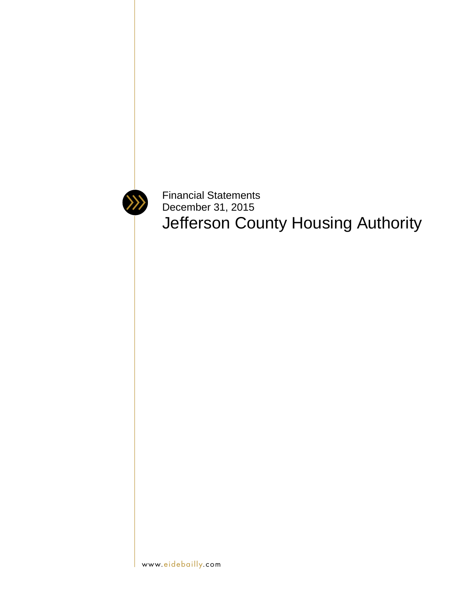

Financial Statements December 31, 2015 Jefferson County Housing Authority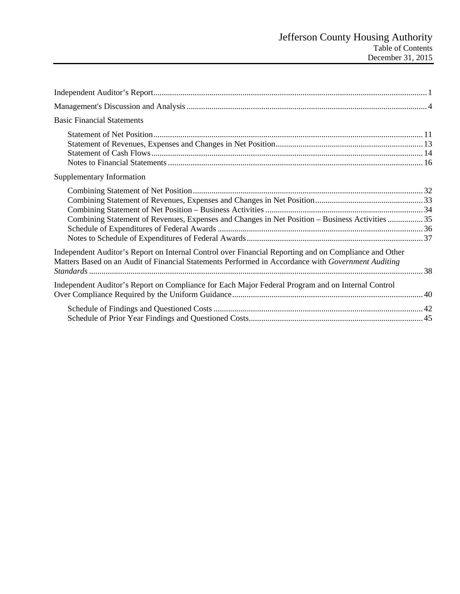| <b>Basic Financial Statements</b>                                                                                                                                                                           |  |
|-------------------------------------------------------------------------------------------------------------------------------------------------------------------------------------------------------------|--|
|                                                                                                                                                                                                             |  |
| Supplementary Information                                                                                                                                                                                   |  |
| Combining Statement of Revenues, Expenses and Changes in Net Position - Business Activities  35                                                                                                             |  |
| Independent Auditor's Report on Internal Control over Financial Reporting and on Compliance and Other<br>Matters Based on an Audit of Financial Statements Performed in Accordance with Government Auditing |  |
| Independent Auditor's Report on Compliance for Each Major Federal Program and on Internal Control                                                                                                           |  |
|                                                                                                                                                                                                             |  |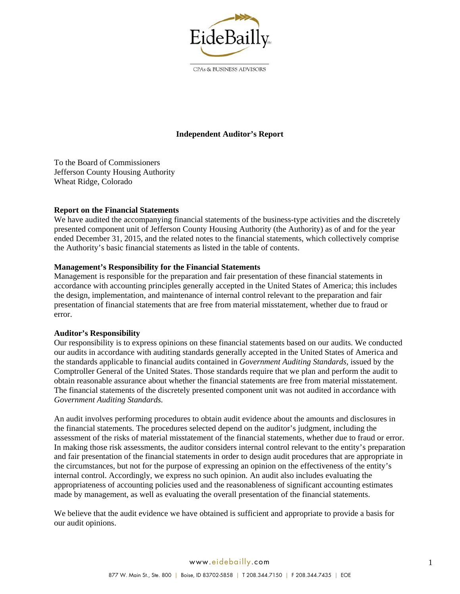

CPAs & BUSINESS ADVISORS

# **Independent Auditor's Report**

To the Board of Commissioners Jefferson County Housing Authority Wheat Ridge, Colorado

#### **Report on the Financial Statements**

We have audited the accompanying financial statements of the business-type activities and the discretely presented component unit of Jefferson County Housing Authority (the Authority) as of and for the year ended December 31, 2015, and the related notes to the financial statements, which collectively comprise the Authority's basic financial statements as listed in the table of contents.

#### **Management's Responsibility for the Financial Statements**

Management is responsible for the preparation and fair presentation of these financial statements in accordance with accounting principles generally accepted in the United States of America; this includes the design, implementation, and maintenance of internal control relevant to the preparation and fair presentation of financial statements that are free from material misstatement, whether due to fraud or error.

#### **Auditor's Responsibility**

Our responsibility is to express opinions on these financial statements based on our audits. We conducted our audits in accordance with auditing standards generally accepted in the United States of America and the standards applicable to financial audits contained in *Government Auditing Standards,* issued by the Comptroller General of the United States. Those standards require that we plan and perform the audit to obtain reasonable assurance about whether the financial statements are free from material misstatement. The financial statements of the discretely presented component unit was not audited in accordance with *Government Auditing Standards.*

An audit involves performing procedures to obtain audit evidence about the amounts and disclosures in the financial statements. The procedures selected depend on the auditor's judgment, including the assessment of the risks of material misstatement of the financial statements, whether due to fraud or error. In making those risk assessments, the auditor considers internal control relevant to the entity's preparation and fair presentation of the financial statements in order to design audit procedures that are appropriate in the circumstances, but not for the purpose of expressing an opinion on the effectiveness of the entity's internal control. Accordingly, we express no such opinion. An audit also includes evaluating the appropriateness of accounting policies used and the reasonableness of significant accounting estimates made by management, as well as evaluating the overall presentation of the financial statements.

We believe that the audit evidence we have obtained is sufficient and appropriate to provide a basis for our audit opinions.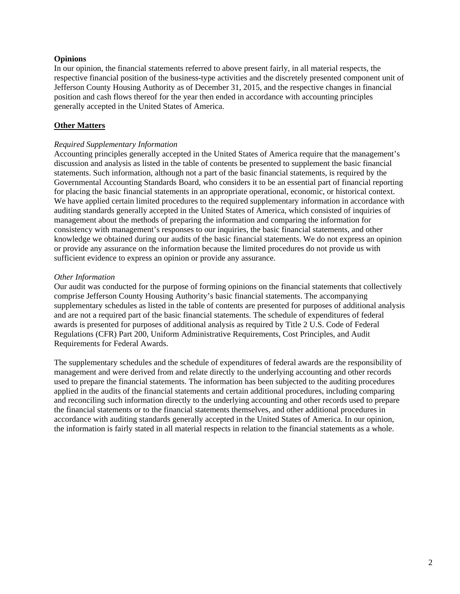#### **Opinions**

In our opinion, the financial statements referred to above present fairly, in all material respects, the respective financial position of the business-type activities and the discretely presented component unit of Jefferson County Housing Authority as of December 31, 2015, and the respective changes in financial position and cash flows thereof for the year then ended in accordance with accounting principles generally accepted in the United States of America.

### **Other Matters**

#### *Required Supplementary Information*

Accounting principles generally accepted in the United States of America require that the management's discussion and analysis as listed in the table of contents be presented to supplement the basic financial statements. Such information, although not a part of the basic financial statements, is required by the Governmental Accounting Standards Board, who considers it to be an essential part of financial reporting for placing the basic financial statements in an appropriate operational, economic, or historical context. We have applied certain limited procedures to the required supplementary information in accordance with auditing standards generally accepted in the United States of America, which consisted of inquiries of management about the methods of preparing the information and comparing the information for consistency with management's responses to our inquiries, the basic financial statements, and other knowledge we obtained during our audits of the basic financial statements. We do not express an opinion or provide any assurance on the information because the limited procedures do not provide us with sufficient evidence to express an opinion or provide any assurance.

#### *Other Information*

Our audit was conducted for the purpose of forming opinions on the financial statements that collectively comprise Jefferson County Housing Authority's basic financial statements. The accompanying supplementary schedules as listed in the table of contents are presented for purposes of additional analysis and are not a required part of the basic financial statements. The schedule of expenditures of federal awards is presented for purposes of additional analysis as required by Title 2 U.S. Code of Federal Regulations (CFR) Part 200, Uniform Administrative Requirements, Cost Principles, and Audit Requirements for Federal Awards.

The supplementary schedules and the schedule of expenditures of federal awards are the responsibility of management and were derived from and relate directly to the underlying accounting and other records used to prepare the financial statements. The information has been subjected to the auditing procedures applied in the audits of the financial statements and certain additional procedures, including comparing and reconciling such information directly to the underlying accounting and other records used to prepare the financial statements or to the financial statements themselves, and other additional procedures in accordance with auditing standards generally accepted in the United States of America. In our opinion, the information is fairly stated in all material respects in relation to the financial statements as a whole.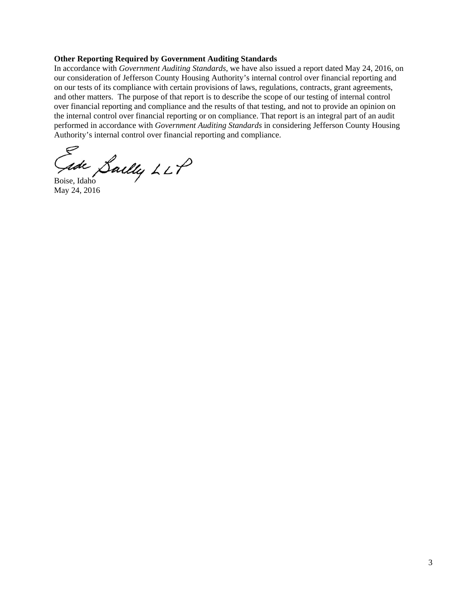#### **Other Reporting Required by Government Auditing Standards**

In accordance with *Government Auditing Standards*, we have also issued a report dated May 24, 2016, on our consideration of Jefferson County Housing Authority's internal control over financial reporting and on our tests of its compliance with certain provisions of laws, regulations, contracts, grant agreements, and other matters. The purpose of that report is to describe the scope of our testing of internal control over financial reporting and compliance and the results of that testing, and not to provide an opinion on the internal control over financial reporting or on compliance. That report is an integral part of an audit performed in accordance with *Government Auditing Standards* in considering Jefferson County Housing Authority's internal control over financial reporting and compliance.

Gade Sailly LLP

May 24, 2016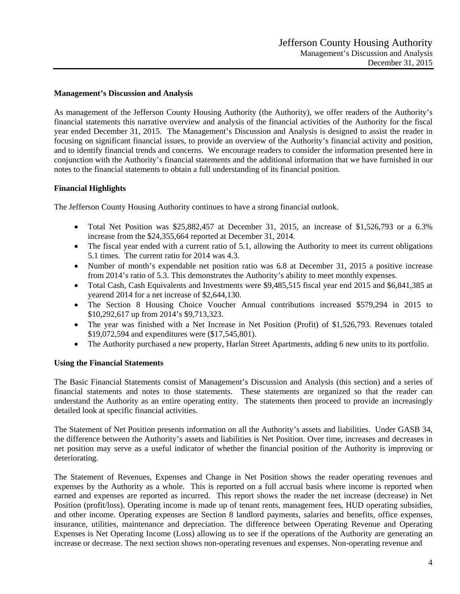#### **Management's Discussion and Analysis**

As management of the Jefferson County Housing Authority (the Authority), we offer readers of the Authority's financial statements this narrative overview and analysis of the financial activities of the Authority for the fiscal year ended December 31, 2015. The Management's Discussion and Analysis is designed to assist the reader in focusing on significant financial issues, to provide an overview of the Authority's financial activity and position, and to identify financial trends and concerns. We encourage readers to consider the information presented here in conjunction with the Authority's financial statements and the additional information that we have furnished in our notes to the financial statements to obtain a full understanding of its financial position.

#### **Financial Highlights**

The Jefferson County Housing Authority continues to have a strong financial outlook.

- Total Net Position was \$25,882,457 at December 31, 2015, an increase of \$1,526,793 or a 6.3% increase from the \$24,355,664 reported at December 31, 2014.
- The fiscal year ended with a current ratio of 5.1, allowing the Authority to meet its current obligations 5.1 times. The current ratio for 2014 was 4.3.
- Number of month's expendable net position ratio was 6.8 at December 31, 2015 a positive increase from 2014's ratio of 5.3. This demonstrates the Authority's ability to meet monthly expenses.
- Total Cash, Cash Equivalents and Investments were \$9,485,515 fiscal year end 2015 and \$6,841,385 at yearend 2014 for a net increase of \$2,644,130.
- The Section 8 Housing Choice Voucher Annual contributions increased \$579,294 in 2015 to \$10,292,617 up from 2014's \$9,713,323.
- The year was finished with a Net Increase in Net Position (Profit) of \$1,526,793. Revenues totaled \$19,072,594 and expenditures were (\$17,545,801).
- The Authority purchased a new property, Harlan Street Apartments, adding 6 new units to its portfolio.

#### **Using the Financial Statements**

The Basic Financial Statements consist of Management's Discussion and Analysis (this section) and a series of financial statements and notes to those statements. These statements are organized so that the reader can understand the Authority as an entire operating entity. The statements then proceed to provide an increasingly detailed look at specific financial activities.

The Statement of Net Position presents information on all the Authority's assets and liabilities. Under GASB 34, the difference between the Authority's assets and liabilities is Net Position. Over time, increases and decreases in net position may serve as a useful indicator of whether the financial position of the Authority is improving or deteriorating.

The Statement of Revenues, Expenses and Change in Net Position shows the reader operating revenues and expenses by the Authority as a whole. This is reported on a full accrual basis where income is reported when earned and expenses are reported as incurred. This report shows the reader the net increase (decrease) in Net Position (profit/loss). Operating income is made up of tenant rents, management fees, HUD operating subsidies, and other income. Operating expenses are Section 8 landlord payments, salaries and benefits, office expenses, insurance, utilities, maintenance and depreciation. The difference between Operating Revenue and Operating Expenses is Net Operating Income (Loss) allowing us to see if the operations of the Authority are generating an increase or decrease. The next section shows non-operating revenues and expenses. Non-operating revenue and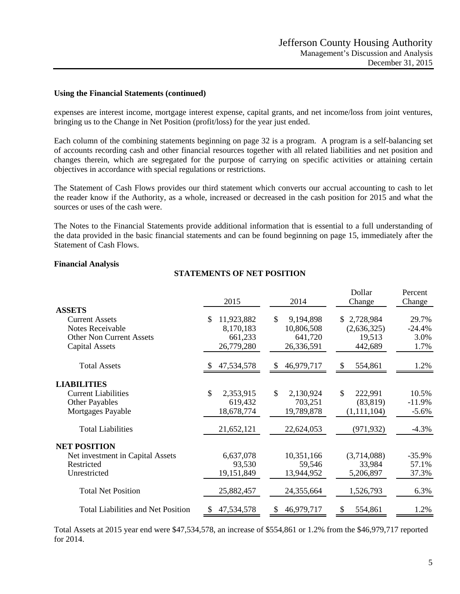#### **Using the Financial Statements (continued)**

expenses are interest income, mortgage interest expense, capital grants, and net income/loss from joint ventures, bringing us to the Change in Net Position (profit/loss) for the year just ended.

Each column of the combining statements beginning on page 32 is a program. A program is a self-balancing set of accounts recording cash and other financial resources together with all related liabilities and net position and changes therein, which are segregated for the purpose of carrying on specific activities or attaining certain objectives in accordance with special regulations or restrictions.

The Statement of Cash Flows provides our third statement which converts our accrual accounting to cash to let the reader know if the Authority, as a whole, increased or decreased in the cash position for 2015 and what the sources or uses of the cash were.

The Notes to the Financial Statements provide additional information that is essential to a full understanding of the data provided in the basic financial statements and can be found beginning on page 15, immediately after the Statement of Cash Flows.

#### **Financial Analysis**

|                                           | 2015             | 2014             | Dollar<br>Change | Percent<br>Change |
|-------------------------------------------|------------------|------------------|------------------|-------------------|
| <b>ASSETS</b>                             |                  |                  |                  |                   |
| <b>Current Assets</b>                     | 11,923,882<br>\$ | \$<br>9,194,898  | 2,728,984<br>S.  | 29.7%             |
| Notes Receivable                          | 8,170,183        | 10,806,508       | (2,636,325)      | $-24.4%$          |
| <b>Other Non Current Assets</b>           | 661,233          | 641,720          | 19,513           | 3.0%              |
| <b>Capital Assets</b>                     | 26,779,280       | 26,336,591       | 442,689          | 1.7%              |
| <b>Total Assets</b>                       | 47,534,578       | 46,979,717<br>\$ | \$<br>554,861    | 1.2%              |
| <b>LIABILITIES</b>                        |                  |                  |                  |                   |
| <b>Current Liabilities</b>                | \$<br>2,353,915  | \$<br>2,130,924  | \$<br>222,991    | 10.5%             |
| <b>Other Payables</b>                     | 619,432          | 703,251          | (83, 819)        | $-11.9%$          |
| Mortgages Payable                         | 18,678,774       | 19,789,878       | (1, 111, 104)    | $-5.6\%$          |
| <b>Total Liabilities</b>                  | 21,652,121       | 22,624,053       | (971, 932)       | $-4.3%$           |
| <b>NET POSITION</b>                       |                  |                  |                  |                   |
| Net investment in Capital Assets          | 6,637,078        | 10,351,166       | (3,714,088)      | $-35.9%$          |
| Restricted                                | 93,530           | 59,546           | 33,984           | 57.1%             |
| Unrestricted                              | 19,151,849       | 13,944,952       | 5,206,897        | 37.3%             |
| <b>Total Net Position</b>                 | 25,882,457       | 24,355,664       | 1,526,793        | 6.3%              |
| <b>Total Liabilities and Net Position</b> | \$<br>47,534,578 | \$<br>46,979,717 | \$<br>554,861    | 1.2%              |

#### **STATEMENTS OF NET POSITION**

Total Assets at 2015 year end were \$47,534,578, an increase of \$554,861 or 1.2% from the \$46,979,717 reported for 2014.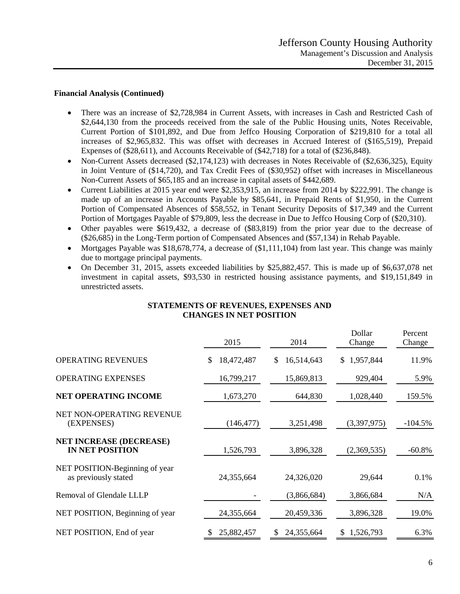#### **Financial Analysis (Continued)**

- There was an increase of \$2,728,984 in Current Assets, with increases in Cash and Restricted Cash of \$2,644,130 from the proceeds received from the sale of the Public Housing units, Notes Receivable, Current Portion of \$101,892, and Due from Jeffco Housing Corporation of \$219,810 for a total all increases of \$2,965,832. This was offset with decreases in Accrued Interest of (\$165,519), Prepaid Expenses of (\$28,611), and Accounts Receivable of (\$42,718) for a total of (\$236,848).
- Non-Current Assets decreased (\$2,174,123) with decreases in Notes Receivable of (\$2,636,325), Equity in Joint Venture of (\$14,720), and Tax Credit Fees of (\$30,952) offset with increases in Miscellaneous Non-Current Assets of \$65,185 and an increase in capital assets of \$442,689.
- Current Liabilities at 2015 year end were \$2,353,915, an increase from 2014 by \$222,991. The change is made up of an increase in Accounts Payable by \$85,641, in Prepaid Rents of \$1,950, in the Current Portion of Compensated Absences of \$58,552, in Tenant Security Deposits of \$17,349 and the Current Portion of Mortgages Payable of \$79,809, less the decrease in Due to Jeffco Housing Corp of (\$20,310).
- Other payables were \$619,432, a decrease of (\$83,819) from the prior year due to the decrease of (\$26,685) in the Long-Term portion of Compensated Absences and (\$57,134) in Rehab Payable.
- Mortgages Payable was  $$18,678,774$ , a decrease of  $$1,111,104$  from last year. This change was mainly due to mortgage principal payments.
- On December 31, 2015, assets exceeded liabilities by \$25,882,457. This is made up of \$6,637,078 net investment in capital assets, \$93,530 in restricted housing assistance payments, and \$19,151,849 in unrestricted assets.

|                                                          | 2015            | 2014            | Dollar<br>Change | Percent<br>Change |
|----------------------------------------------------------|-----------------|-----------------|------------------|-------------------|
| <b>OPERATING REVENUES</b>                                | 18,472,487<br>S | 16,514,643<br>S | 1,957,844<br>\$. | 11.9%             |
| <b>OPERATING EXPENSES</b>                                | 16,799,217      | 15,869,813      | 929,404          | 5.9%              |
| NET OPERATING INCOME                                     | 1,673,270       | 644,830         | 1,028,440        | 159.5%            |
| NET NON-OPERATING REVENUE<br>(EXPENSES)                  | (146, 477)      | 3,251,498       | (3,397,975)      | $-104.5%$         |
| <b>NET INCREASE (DECREASE)</b><br><b>IN NET POSITION</b> | 1,526,793       | 3,896,328       | (2,369,535)      | $-60.8%$          |
| NET POSITION-Beginning of year<br>as previously stated   | 24,355,664      | 24,326,020      | 29,644           | 0.1%              |
| Removal of Glendale LLLP                                 |                 | (3,866,684)     | 3,866,684        | N/A               |
| NET POSITION, Beginning of year                          | 24,355,664      | 20,459,336      | 3,896,328        | 19.0%             |
| NET POSITION, End of year                                | 25,882,457      | 24,355,664      | 1,526,793<br>SS. | 6.3%              |

#### **STATEMENTS OF REVENUES, EXPENSES AND CHANGES IN NET POSITION**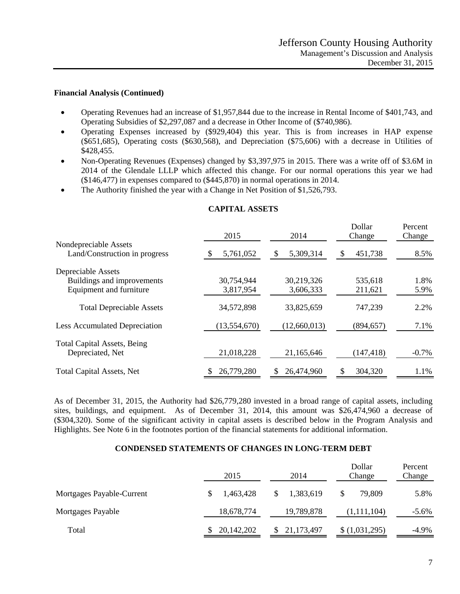#### **Financial Analysis (Continued)**

- Operating Revenues had an increase of \$1,957,844 due to the increase in Rental Income of \$401,743, and Operating Subsidies of \$2,297,087 and a decrease in Other Income of (\$740,986).
- Operating Expenses increased by (\$929,404) this year. This is from increases in HAP expense (\$651,685), Operating costs (\$630,568), and Depreciation (\$75,606) with a decrease in Utilities of \$428,455.
- Non-Operating Revenues (Expenses) changed by \$3,397,975 in 2015. There was a write off of \$3.6M in 2014 of the Glendale LLLP which affected this change. For our normal operations this year we had (\$146,477) in expenses compared to (\$445,870) in normal operations in 2014.
- The Authority finished the year with a Change in Net Position of \$1,526,793.

|                                      | 2015           | 2014         | Dollar<br>Change | Percent<br>Change |
|--------------------------------------|----------------|--------------|------------------|-------------------|
| Nondepreciable Assets                |                |              |                  |                   |
| Land/Construction in progress        | 5,761,052      | 5,309,314    | 451,738<br>\$    | 8.5%              |
| Depreciable Assets                   |                |              |                  |                   |
| Buildings and improvements           | 30,754,944     | 30,219,326   | 535,618          | 1.8%              |
| Equipment and furniture              | 3,817,954      | 3,606,333    | 211,621          | 5.9%              |
| <b>Total Depreciable Assets</b>      | 34,572,898     | 33,825,659   | 747,239          | 2.2%              |
| <b>Less Accumulated Depreciation</b> | (13, 554, 670) | (12,660,013) | (894, 657)       | 7.1%              |
| <b>Total Capital Assets, Being</b>   |                |              |                  |                   |
| Depreciated, Net                     | 21,018,228     | 21,165,646   | (147, 418)       | $-0.7%$           |
| <b>Total Capital Assets, Net</b>     | 26,779,280     | 26,474,960   | \$<br>304,320    | 1.1%              |

### **CAPITAL ASSETS**

As of December 31, 2015, the Authority had \$26,779,280 invested in a broad range of capital assets, including sites, buildings, and equipment. As of December 31, 2014, this amount was \$26,474,960 a decrease of (\$304,320). Some of the significant activity in capital assets is described below in the Program Analysis and Highlights. See Note 6 in the footnotes portion of the financial statements for additional information.

#### **CONDENSED STATEMENTS OF CHANGES IN LONG-TERM DEBT**

|                           | 2015 | 2014                       | Dollar<br>Change | Percent<br>Change |
|---------------------------|------|----------------------------|------------------|-------------------|
| Mortgages Payable-Current |      | 1,383,619<br>1,463,428     | 79,809           | 5.8%              |
| Mortgages Payable         |      | 19,789,878<br>18,678,774   | (1, 111, 104)    | $-5.6\%$          |
| Total                     |      | 20, 142, 202<br>21,173,497 | \$(1,031,295)    | $-4.9\%$          |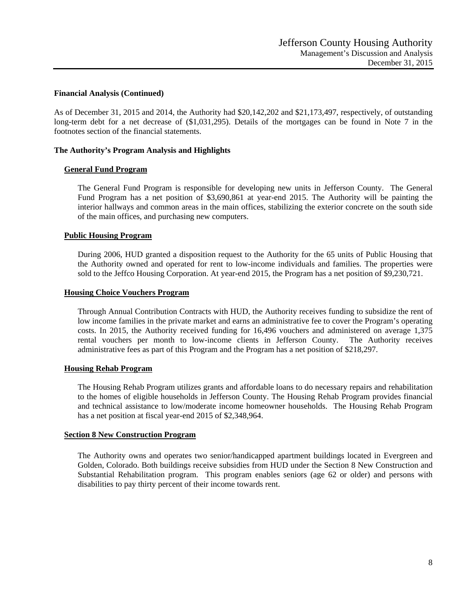#### **Financial Analysis (Continued)**

As of December 31, 2015 and 2014, the Authority had \$20,142,202 and \$21,173,497, respectively, of outstanding long-term debt for a net decrease of (\$1,031,295). Details of the mortgages can be found in Note 7 in the footnotes section of the financial statements.

#### **The Authority's Program Analysis and Highlights**

#### **General Fund Program**

The General Fund Program is responsible for developing new units in Jefferson County. The General Fund Program has a net position of \$3,690,861 at year-end 2015. The Authority will be painting the interior hallways and common areas in the main offices, stabilizing the exterior concrete on the south side of the main offices, and purchasing new computers.

#### **Public Housing Program**

During 2006, HUD granted a disposition request to the Authority for the 65 units of Public Housing that the Authority owned and operated for rent to low-income individuals and families. The properties were sold to the Jeffco Housing Corporation. At year-end 2015, the Program has a net position of \$9,230,721.

#### **Housing Choice Vouchers Program**

Through Annual Contribution Contracts with HUD, the Authority receives funding to subsidize the rent of low income families in the private market and earns an administrative fee to cover the Program's operating costs. In 2015, the Authority received funding for 16,496 vouchers and administered on average 1,375 rental vouchers per month to low-income clients in Jefferson County. The Authority receives administrative fees as part of this Program and the Program has a net position of \$218,297.

#### **Housing Rehab Program**

The Housing Rehab Program utilizes grants and affordable loans to do necessary repairs and rehabilitation to the homes of eligible households in Jefferson County. The Housing Rehab Program provides financial and technical assistance to low/moderate income homeowner households. The Housing Rehab Program has a net position at fiscal year-end 2015 of \$2,348,964.

#### **Section 8 New Construction Program**

The Authority owns and operates two senior/handicapped apartment buildings located in Evergreen and Golden, Colorado. Both buildings receive subsidies from HUD under the Section 8 New Construction and Substantial Rehabilitation program. This program enables seniors (age 62 or older) and persons with disabilities to pay thirty percent of their income towards rent.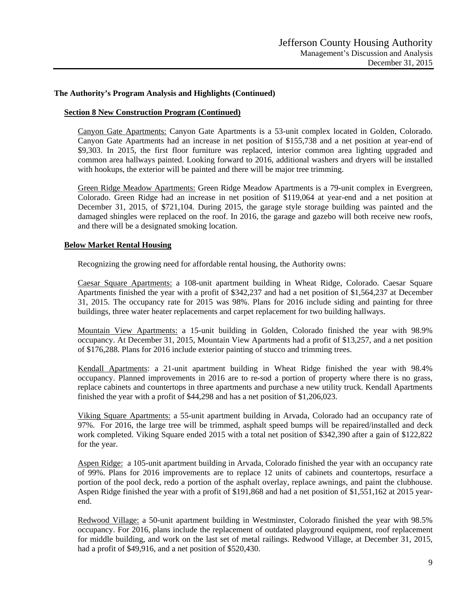#### **The Authority's Program Analysis and Highlights (Continued)**

#### **Section 8 New Construction Program (Continued)**

Canyon Gate Apartments: Canyon Gate Apartments is a 53-unit complex located in Golden, Colorado. Canyon Gate Apartments had an increase in net position of \$155,738 and a net position at year-end of \$9,303. In 2015, the first floor furniture was replaced, interior common area lighting upgraded and common area hallways painted. Looking forward to 2016, additional washers and dryers will be installed with hookups, the exterior will be painted and there will be major tree trimming.

Green Ridge Meadow Apartments: Green Ridge Meadow Apartments is a 79-unit complex in Evergreen, Colorado. Green Ridge had an increase in net position of \$119,064 at year-end and a net position at December 31, 2015, of \$721,104. During 2015, the garage style storage building was painted and the damaged shingles were replaced on the roof. In 2016, the garage and gazebo will both receive new roofs, and there will be a designated smoking location.

#### **Below Market Rental Housing**

Recognizing the growing need for affordable rental housing, the Authority owns:

Caesar Square Apartments: a 108-unit apartment building in Wheat Ridge, Colorado. Caesar Square Apartments finished the year with a profit of \$342,237 and had a net position of \$1,564,237 at December 31, 2015. The occupancy rate for 2015 was 98%. Plans for 2016 include siding and painting for three buildings, three water heater replacements and carpet replacement for two building hallways.

Mountain View Apartments: a 15-unit building in Golden, Colorado finished the year with 98.9% occupancy. At December 31, 2015, Mountain View Apartments had a profit of \$13,257, and a net position of \$176,288. Plans for 2016 include exterior painting of stucco and trimming trees.

Kendall Apartments: a 21-unit apartment building in Wheat Ridge finished the year with 98.4% occupancy. Planned improvements in 2016 are to re-sod a portion of property where there is no grass, replace cabinets and countertops in three apartments and purchase a new utility truck. Kendall Apartments finished the year with a profit of \$44,298 and has a net position of \$1,206,023.

Viking Square Apartments: a 55-unit apartment building in Arvada, Colorado had an occupancy rate of 97%. For 2016, the large tree will be trimmed, asphalt speed bumps will be repaired/installed and deck work completed. Viking Square ended 2015 with a total net position of \$342,390 after a gain of \$122,822 for the year.

Aspen Ridge: a 105-unit apartment building in Arvada, Colorado finished the year with an occupancy rate of 99%. Plans for 2016 improvements are to replace 12 units of cabinets and countertops, resurface a portion of the pool deck, redo a portion of the asphalt overlay, replace awnings, and paint the clubhouse. Aspen Ridge finished the year with a profit of \$191,868 and had a net position of \$1,551,162 at 2015 yearend.

Redwood Village: a 50-unit apartment building in Westminster, Colorado finished the year with 98.5% occupancy. For 2016, plans include the replacement of outdated playground equipment, roof replacement for middle building, and work on the last set of metal railings. Redwood Village, at December 31, 2015, had a profit of \$49,916, and a net position of \$520,430.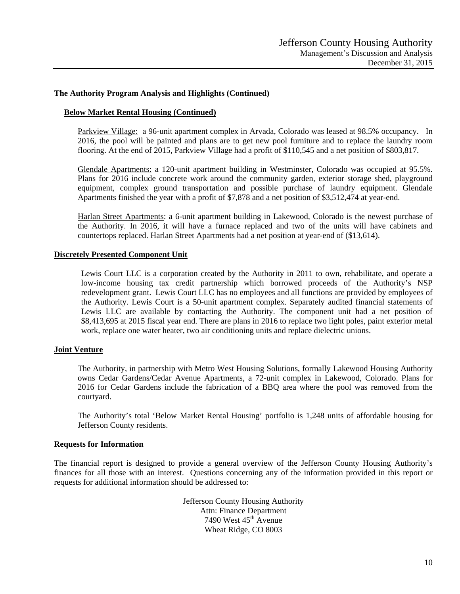#### **The Authority Program Analysis and Highlights (Continued)**

#### **Below Market Rental Housing (Continued)**

Parkview Village: a 96-unit apartment complex in Arvada, Colorado was leased at 98.5% occupancy. In 2016, the pool will be painted and plans are to get new pool furniture and to replace the laundry room flooring. At the end of 2015, Parkview Village had a profit of \$110,545 and a net position of \$803,817.

Glendale Apartments: a 120-unit apartment building in Westminster, Colorado was occupied at 95.5%. Plans for 2016 include concrete work around the community garden, exterior storage shed, playground equipment, complex ground transportation and possible purchase of laundry equipment. Glendale Apartments finished the year with a profit of \$7,878 and a net position of \$3,512,474 at year-end.

Harlan Street Apartments: a 6-unit apartment building in Lakewood, Colorado is the newest purchase of the Authority. In 2016, it will have a furnace replaced and two of the units will have cabinets and countertops replaced. Harlan Street Apartments had a net position at year-end of (\$13,614).

#### **Discretely Presented Component Unit**

Lewis Court LLC is a corporation created by the Authority in 2011 to own, rehabilitate, and operate a low-income housing tax credit partnership which borrowed proceeds of the Authority's NSP redevelopment grant. Lewis Court LLC has no employees and all functions are provided by employees of the Authority. Lewis Court is a 50-unit apartment complex. Separately audited financial statements of Lewis LLC are available by contacting the Authority. The component unit had a net position of \$8,413,695 at 2015 fiscal year end. There are plans in 2016 to replace two light poles, paint exterior metal work, replace one water heater, two air conditioning units and replace dielectric unions.

#### **Joint Venture**

The Authority, in partnership with Metro West Housing Solutions, formally Lakewood Housing Authority owns Cedar Gardens/Cedar Avenue Apartments, a 72-unit complex in Lakewood, Colorado. Plans for 2016 for Cedar Gardens include the fabrication of a BBQ area where the pool was removed from the courtyard.

The Authority's total 'Below Market Rental Housing' portfolio is 1,248 units of affordable housing for Jefferson County residents.

#### **Requests for Information**

The financial report is designed to provide a general overview of the Jefferson County Housing Authority's finances for all those with an interest. Questions concerning any of the information provided in this report or requests for additional information should be addressed to:

> Jefferson County Housing Authority Attn: Finance Department 7490 West 45th Avenue Wheat Ridge, CO 8003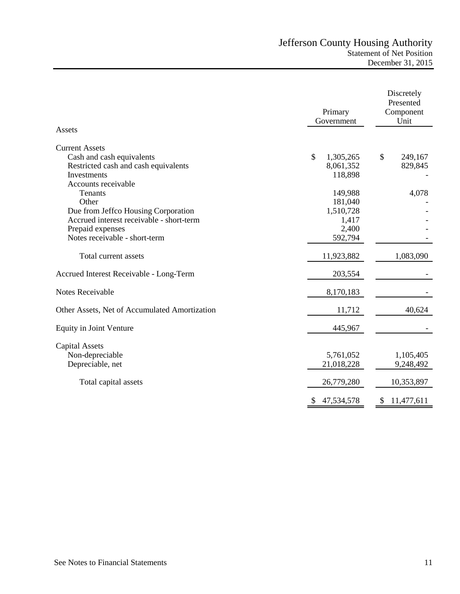|                                                                                                                                                          | Primary<br>Government                                        | Discretely<br>Presented<br>Component<br>Unit |
|----------------------------------------------------------------------------------------------------------------------------------------------------------|--------------------------------------------------------------|----------------------------------------------|
| Assets                                                                                                                                                   |                                                              |                                              |
| <b>Current Assets</b><br>Cash and cash equivalents<br>Restricted cash and cash equivalents<br>Investments<br>Accounts receivable                         | \$<br>1,305,265<br>8,061,352<br>118,898                      | $\mathcal{S}$<br>249,167<br>829,845          |
| Tenants<br>Other<br>Due from Jeffco Housing Corporation<br>Accrued interest receivable - short-term<br>Prepaid expenses<br>Notes receivable - short-term | 149,988<br>181,040<br>1,510,728<br>1,417<br>2,400<br>592,794 | 4,078                                        |
| Total current assets                                                                                                                                     | 11,923,882                                                   | 1,083,090                                    |
| Accrued Interest Receivable - Long-Term                                                                                                                  | 203,554                                                      |                                              |
| <b>Notes Receivable</b>                                                                                                                                  | 8,170,183                                                    |                                              |
| Other Assets, Net of Accumulated Amortization                                                                                                            | 11,712                                                       | 40,624                                       |
| <b>Equity in Joint Venture</b>                                                                                                                           | 445,967                                                      |                                              |
| <b>Capital Assets</b><br>Non-depreciable<br>Depreciable, net                                                                                             | 5,761,052<br>21,018,228                                      | 1,105,405<br>9,248,492                       |
| Total capital assets                                                                                                                                     | 26,779,280                                                   | 10,353,897                                   |
|                                                                                                                                                          | 47,534,578                                                   | 11,477,611<br>S                              |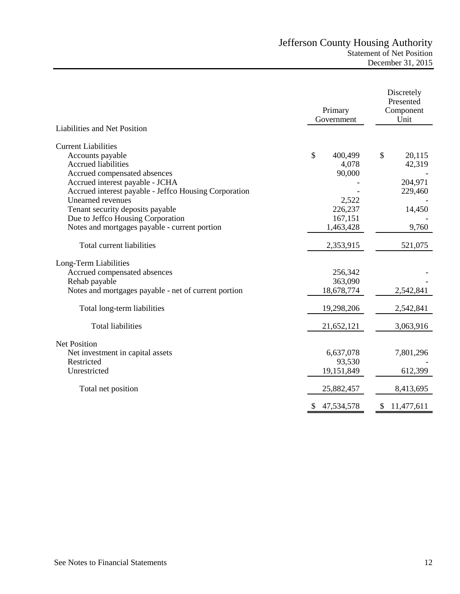|                                                       |                       |                  |               | Discretely<br>Presented |
|-------------------------------------------------------|-----------------------|------------------|---------------|-------------------------|
|                                                       | Primary<br>Government |                  |               | Component<br>Unit       |
| Liabilities and Net Position                          |                       |                  |               |                         |
| <b>Current Liabilities</b>                            |                       |                  |               |                         |
| Accounts payable<br><b>Accrued liabilities</b>        | \$                    | 400,499<br>4,078 | $\mathcal{S}$ | 20,115<br>42,319        |
| Accrued compensated absences                          |                       | 90,000           |               |                         |
| Accrued interest payable - JCHA                       |                       |                  |               | 204,971                 |
| Accrued interest payable - Jeffco Housing Corporation |                       |                  |               | 229,460                 |
| Unearned revenues                                     |                       | 2,522            |               |                         |
| Tenant security deposits payable                      |                       | 226,237          |               | 14,450                  |
| Due to Jeffco Housing Corporation                     |                       | 167,151          |               |                         |
| Notes and mortgages payable - current portion         |                       | 1,463,428        |               | 9,760                   |
| Total current liabilities                             |                       | 2,353,915        |               | 521,075                 |
| Long-Term Liabilities                                 |                       |                  |               |                         |
| Accrued compensated absences                          |                       | 256,342          |               |                         |
| Rehab payable                                         |                       | 363,090          |               |                         |
| Notes and mortgages payable - net of current portion  |                       | 18,678,774       |               | 2,542,841               |
| Total long-term liabilities                           |                       | 19,298,206       |               | 2,542,841               |
| <b>Total liabilities</b>                              |                       | 21,652,121       |               | 3,063,916               |
| <b>Net Position</b>                                   |                       |                  |               |                         |
| Net investment in capital assets                      |                       | 6,637,078        |               | 7,801,296               |
| Restricted                                            |                       | 93,530           |               |                         |
| Unrestricted                                          |                       | 19,151,849       |               | 612,399                 |
| Total net position                                    |                       | 25,882,457       |               | 8,413,695               |
|                                                       |                       | \$47,534,578     | \$            | 11,477,611              |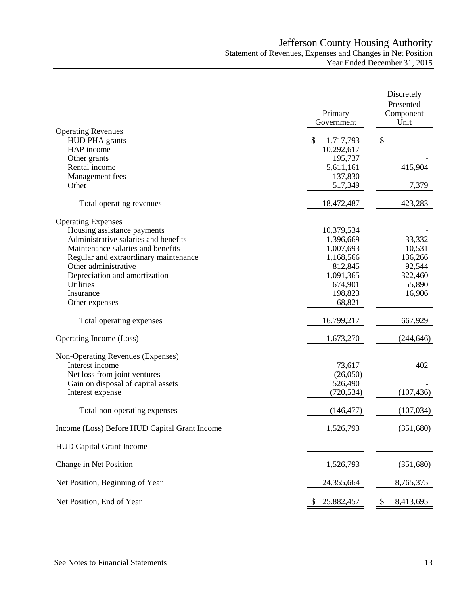|                                                                                                                                                | Primary<br>Government                       | Discretely<br>Presented<br>Component<br>Unit |
|------------------------------------------------------------------------------------------------------------------------------------------------|---------------------------------------------|----------------------------------------------|
| <b>Operating Revenues</b><br><b>HUD PHA</b> grants<br>HAP income<br>Other grants                                                               | \$<br>1,717,793<br>10,292,617<br>195,737    | \$                                           |
| Rental income                                                                                                                                  | 5,611,161                                   | 415,904                                      |
| Management fees                                                                                                                                | 137,830                                     |                                              |
| Other                                                                                                                                          | 517,349                                     | 7,379                                        |
| Total operating revenues                                                                                                                       | 18,472,487                                  | 423,283                                      |
| <b>Operating Expenses</b>                                                                                                                      |                                             |                                              |
| Housing assistance payments                                                                                                                    | 10,379,534                                  |                                              |
| Administrative salaries and benefits                                                                                                           | 1,396,669                                   | 33,332                                       |
| Maintenance salaries and benefits                                                                                                              | 1,007,693                                   | 10,531                                       |
| Regular and extraordinary maintenance                                                                                                          | 1,168,566                                   | 136,266                                      |
| Other administrative                                                                                                                           | 812,845                                     | 92,544                                       |
| Depreciation and amortization                                                                                                                  | 1,091,365                                   | 322,460                                      |
| <b>Utilities</b>                                                                                                                               | 674,901                                     | 55,890                                       |
| Insurance                                                                                                                                      | 198,823<br>68,821                           | 16,906                                       |
| Other expenses                                                                                                                                 |                                             |                                              |
| Total operating expenses                                                                                                                       | 16,799,217                                  | 667,929                                      |
| Operating Income (Loss)                                                                                                                        | 1,673,270                                   | (244, 646)                                   |
| Non-Operating Revenues (Expenses)<br>Interest income<br>Net loss from joint ventures<br>Gain on disposal of capital assets<br>Interest expense | 73,617<br>(26,050)<br>526,490<br>(720, 534) | 402<br>(107, 436)                            |
| Total non-operating expenses                                                                                                                   | (146, 477)                                  | (107, 034)                                   |
| Income (Loss) Before HUD Capital Grant Income                                                                                                  | 1,526,793                                   | (351,680)                                    |
| <b>HUD Capital Grant Income</b>                                                                                                                |                                             |                                              |
| Change in Net Position                                                                                                                         | 1,526,793                                   | (351,680)                                    |
| Net Position, Beginning of Year                                                                                                                | 24,355,664                                  | 8,765,375                                    |
| Net Position, End of Year                                                                                                                      | 25,882,457                                  | 8,413,695<br>P.                              |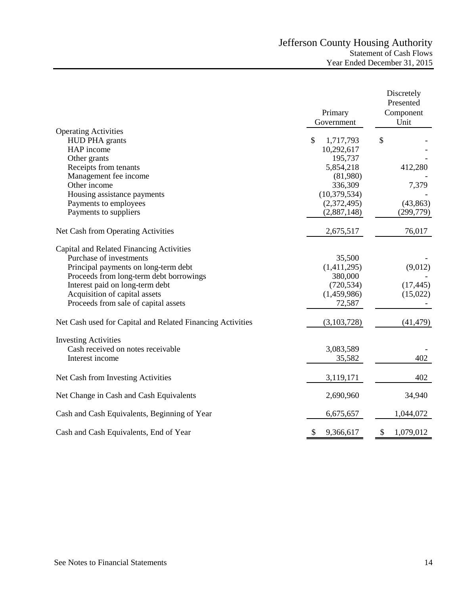|                                                            |                       | Discretely<br>Presented |
|------------------------------------------------------------|-----------------------|-------------------------|
|                                                            | Primary<br>Government | Component<br>Unit       |
| <b>Operating Activities</b>                                |                       |                         |
| <b>HUD PHA grants</b>                                      | \$<br>1,717,793       | \$                      |
| HAP income                                                 | 10,292,617            |                         |
| Other grants                                               | 195,737               |                         |
| Receipts from tenants                                      | 5,854,218             | 412,280                 |
| Management fee income                                      | (81,980)              |                         |
| Other income                                               | 336,309               | 7,379                   |
| Housing assistance payments                                | (10, 379, 534)        |                         |
| Payments to employees                                      | (2,372,495)           | (43, 863)               |
| Payments to suppliers                                      | (2,887,148)           | (299, 779)              |
| Net Cash from Operating Activities                         | 2,675,517             | 76,017                  |
| Capital and Related Financing Activities                   |                       |                         |
| Purchase of investments                                    | 35,500                |                         |
| Principal payments on long-term debt                       | (1,411,295)           | (9,012)                 |
| Proceeds from long-term debt borrowings                    | 380,000               |                         |
| Interest paid on long-term debt                            | (720, 534)            | (17, 445)               |
| Acquisition of capital assets                              | (1,459,986)           | (15,022)                |
| Proceeds from sale of capital assets                       | 72,587                |                         |
| Net Cash used for Capital and Related Financing Activities | (3,103,728)           | (41, 479)               |
| <b>Investing Activities</b>                                |                       |                         |
| Cash received on notes receivable                          | 3,083,589             |                         |
| Interest income                                            | 35,582                | 402                     |
| Net Cash from Investing Activities                         | 3,119,171             | 402                     |
| Net Change in Cash and Cash Equivalents                    | 2,690,960             | 34,940                  |
| Cash and Cash Equivalents, Beginning of Year               | 6,675,657             | 1,044,072               |
| Cash and Cash Equivalents, End of Year                     | \$<br>9,366,617       | \$<br>1,079,012         |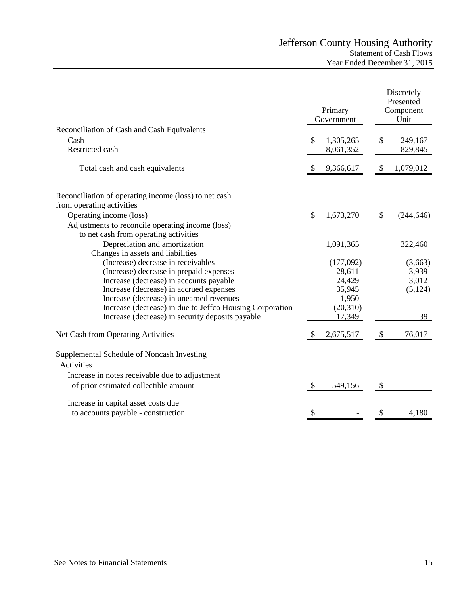|                                                                         | Primary<br>Government |    | Discretely<br>Presented<br>Component<br>Unit |
|-------------------------------------------------------------------------|-----------------------|----|----------------------------------------------|
| Reconciliation of Cash and Cash Equivalents                             |                       |    |                                              |
| Cash                                                                    | \$<br>1,305,265       | \$ | 249,167                                      |
| Restricted cash                                                         | 8,061,352             |    | 829,845                                      |
| Total cash and cash equivalents                                         | \$<br>9,366,617       | \$ | 1,079,012                                    |
| Reconciliation of operating income (loss) to net cash                   |                       |    |                                              |
| from operating activities                                               |                       |    |                                              |
| Operating income (loss)                                                 | \$<br>1,673,270       | \$ | (244, 646)                                   |
| Adjustments to reconcile operating income (loss)                        |                       |    |                                              |
| to net cash from operating activities                                   |                       |    |                                              |
| Depreciation and amortization                                           | 1,091,365             |    | 322,460                                      |
| Changes in assets and liabilities<br>(Increase) decrease in receivables |                       |    |                                              |
| (Increase) decrease in prepaid expenses                                 | (177,092)<br>28,611   |    | (3,663)<br>3,939                             |
| Increase (decrease) in accounts payable                                 | 24,429                |    | 3,012                                        |
| Increase (decrease) in accrued expenses                                 | 35,945                |    | (5, 124)                                     |
| Increase (decrease) in unearned revenues                                | 1,950                 |    |                                              |
| Increase (decrease) in due to Jeffco Housing Corporation                | (20,310)              |    |                                              |
| Increase (decrease) in security deposits payable                        | 17,349                |    | 39                                           |
| Net Cash from Operating Activities                                      | 2,675,517             |    | 76,017                                       |
| Supplemental Schedule of Noncash Investing                              |                       |    |                                              |
| <b>Activities</b>                                                       |                       |    |                                              |
| Increase in notes receivable due to adjustment                          |                       |    |                                              |
| of prior estimated collectible amount                                   | 549,156               | S  |                                              |
| Increase in capital asset costs due                                     |                       |    |                                              |
| to accounts payable - construction                                      | \$                    |    | 4,180                                        |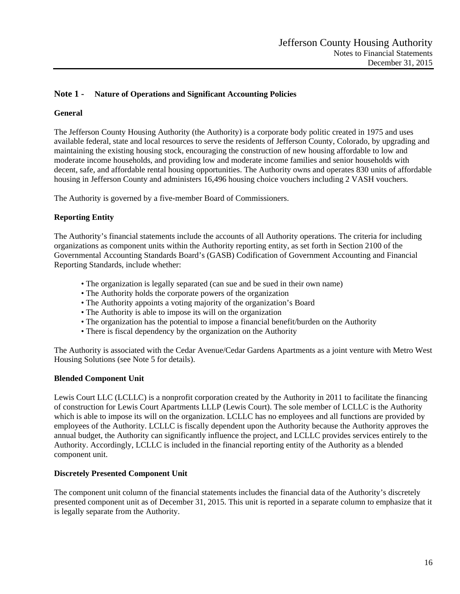## **Note 1 - Nature of Operations and Significant Accounting Policies**

#### **General**

The Jefferson County Housing Authority (the Authority) is a corporate body politic created in 1975 and uses available federal, state and local resources to serve the residents of Jefferson County, Colorado, by upgrading and maintaining the existing housing stock, encouraging the construction of new housing affordable to low and moderate income households, and providing low and moderate income families and senior households with decent, safe, and affordable rental housing opportunities. The Authority owns and operates 830 units of affordable housing in Jefferson County and administers 16,496 housing choice vouchers including 2 VASH vouchers.

The Authority is governed by a five-member Board of Commissioners.

## **Reporting Entity**

The Authority's financial statements include the accounts of all Authority operations. The criteria for including organizations as component units within the Authority reporting entity, as set forth in Section 2100 of the Governmental Accounting Standards Board's (GASB) Codification of Government Accounting and Financial Reporting Standards, include whether:

- The organization is legally separated (can sue and be sued in their own name)
- The Authority holds the corporate powers of the organization
- The Authority appoints a voting majority of the organization's Board
- The Authority is able to impose its will on the organization
- The organization has the potential to impose a financial benefit/burden on the Authority
- There is fiscal dependency by the organization on the Authority

The Authority is associated with the Cedar Avenue/Cedar Gardens Apartments as a joint venture with Metro West Housing Solutions (see Note 5 for details).

#### **Blended Component Unit**

Lewis Court LLC (LCLLC) is a nonprofit corporation created by the Authority in 2011 to facilitate the financing of construction for Lewis Court Apartments LLLP (Lewis Court). The sole member of LCLLC is the Authority which is able to impose its will on the organization. LCLLC has no employees and all functions are provided by employees of the Authority. LCLLC is fiscally dependent upon the Authority because the Authority approves the annual budget, the Authority can significantly influence the project, and LCLLC provides services entirely to the Authority. Accordingly, LCLLC is included in the financial reporting entity of the Authority as a blended component unit.

#### **Discretely Presented Component Unit**

The component unit column of the financial statements includes the financial data of the Authority's discretely presented component unit as of December 31, 2015. This unit is reported in a separate column to emphasize that it is legally separate from the Authority.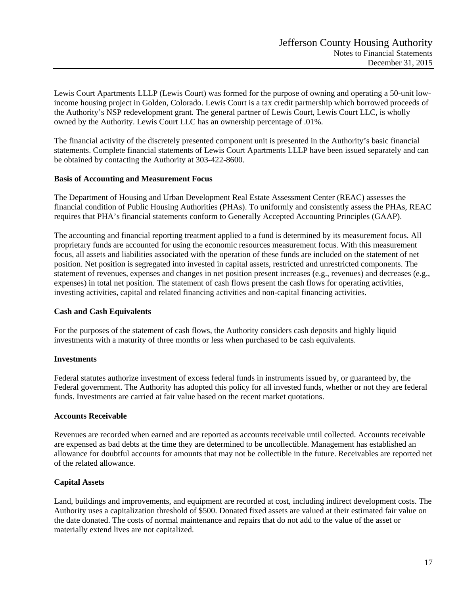Lewis Court Apartments LLLP (Lewis Court) was formed for the purpose of owning and operating a 50-unit lowincome housing project in Golden, Colorado. Lewis Court is a tax credit partnership which borrowed proceeds of the Authority's NSP redevelopment grant. The general partner of Lewis Court, Lewis Court LLC, is wholly owned by the Authority. Lewis Court LLC has an ownership percentage of .01%.

The financial activity of the discretely presented component unit is presented in the Authority's basic financial statements. Complete financial statements of Lewis Court Apartments LLLP have been issued separately and can be obtained by contacting the Authority at 303-422-8600.

#### **Basis of Accounting and Measurement Focus**

The Department of Housing and Urban Development Real Estate Assessment Center (REAC) assesses the financial condition of Public Housing Authorities (PHAs). To uniformly and consistently assess the PHAs, REAC requires that PHA's financial statements conform to Generally Accepted Accounting Principles (GAAP).

The accounting and financial reporting treatment applied to a fund is determined by its measurement focus. All proprietary funds are accounted for using the economic resources measurement focus. With this measurement focus, all assets and liabilities associated with the operation of these funds are included on the statement of net position. Net position is segregated into invested in capital assets, restricted and unrestricted components. The statement of revenues, expenses and changes in net position present increases (e.g., revenues) and decreases (e.g., expenses) in total net position. The statement of cash flows present the cash flows for operating activities, investing activities, capital and related financing activities and non-capital financing activities.

#### **Cash and Cash Equivalents**

For the purposes of the statement of cash flows, the Authority considers cash deposits and highly liquid investments with a maturity of three months or less when purchased to be cash equivalents.

#### **Investments**

Federal statutes authorize investment of excess federal funds in instruments issued by, or guaranteed by, the Federal government. The Authority has adopted this policy for all invested funds, whether or not they are federal funds. Investments are carried at fair value based on the recent market quotations.

#### **Accounts Receivable**

Revenues are recorded when earned and are reported as accounts receivable until collected. Accounts receivable are expensed as bad debts at the time they are determined to be uncollectible. Management has established an allowance for doubtful accounts for amounts that may not be collectible in the future. Receivables are reported net of the related allowance.

#### **Capital Assets**

Land, buildings and improvements, and equipment are recorded at cost, including indirect development costs. The Authority uses a capitalization threshold of \$500. Donated fixed assets are valued at their estimated fair value on the date donated. The costs of normal maintenance and repairs that do not add to the value of the asset or materially extend lives are not capitalized.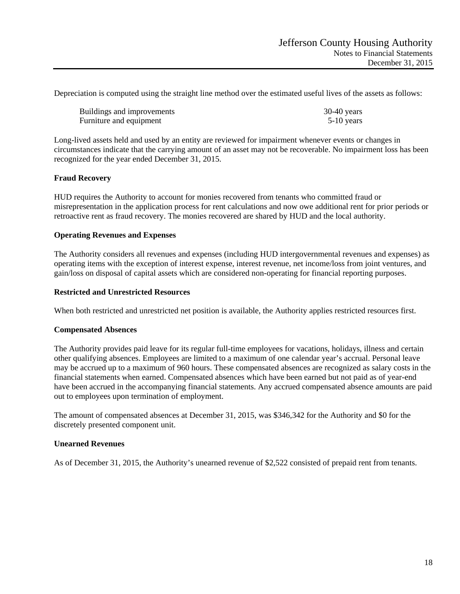Depreciation is computed using the straight line method over the estimated useful lives of the assets as follows:

| Buildings and improvements | $30-40$ years |
|----------------------------|---------------|
| Furniture and equipment    | $5-10$ years  |

Long-lived assets held and used by an entity are reviewed for impairment whenever events or changes in circumstances indicate that the carrying amount of an asset may not be recoverable. No impairment loss has been recognized for the year ended December 31, 2015.

## **Fraud Recovery**

HUD requires the Authority to account for monies recovered from tenants who committed fraud or misrepresentation in the application process for rent calculations and now owe additional rent for prior periods or retroactive rent as fraud recovery. The monies recovered are shared by HUD and the local authority.

## **Operating Revenues and Expenses**

The Authority considers all revenues and expenses (including HUD intergovernmental revenues and expenses) as operating items with the exception of interest expense, interest revenue, net income/loss from joint ventures, and gain/loss on disposal of capital assets which are considered non-operating for financial reporting purposes.

#### **Restricted and Unrestricted Resources**

When both restricted and unrestricted net position is available, the Authority applies restricted resources first.

#### **Compensated Absences**

The Authority provides paid leave for its regular full-time employees for vacations, holidays, illness and certain other qualifying absences. Employees are limited to a maximum of one calendar year's accrual. Personal leave may be accrued up to a maximum of 960 hours. These compensated absences are recognized as salary costs in the financial statements when earned. Compensated absences which have been earned but not paid as of year-end have been accrued in the accompanying financial statements. Any accrued compensated absence amounts are paid out to employees upon termination of employment.

The amount of compensated absences at December 31, 2015, was \$346,342 for the Authority and \$0 for the discretely presented component unit.

#### **Unearned Revenues**

As of December 31, 2015, the Authority's unearned revenue of \$2,522 consisted of prepaid rent from tenants.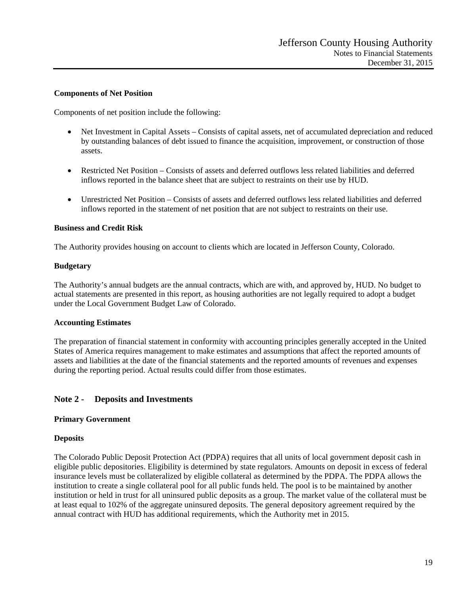#### **Components of Net Position**

Components of net position include the following:

- Net Investment in Capital Assets Consists of capital assets, net of accumulated depreciation and reduced by outstanding balances of debt issued to finance the acquisition, improvement, or construction of those assets.
- Restricted Net Position Consists of assets and deferred outflows less related liabilities and deferred inflows reported in the balance sheet that are subject to restraints on their use by HUD.
- Unrestricted Net Position Consists of assets and deferred outflows less related liabilities and deferred inflows reported in the statement of net position that are not subject to restraints on their use.

#### **Business and Credit Risk**

The Authority provides housing on account to clients which are located in Jefferson County, Colorado.

#### **Budgetary**

The Authority's annual budgets are the annual contracts, which are with, and approved by, HUD. No budget to actual statements are presented in this report, as housing authorities are not legally required to adopt a budget under the Local Government Budget Law of Colorado.

#### **Accounting Estimates**

The preparation of financial statement in conformity with accounting principles generally accepted in the United States of America requires management to make estimates and assumptions that affect the reported amounts of assets and liabilities at the date of the financial statements and the reported amounts of revenues and expenses during the reporting period. Actual results could differ from those estimates.

#### **Note 2 - Deposits and Investments**

#### **Primary Government**

#### **Deposits**

The Colorado Public Deposit Protection Act (PDPA) requires that all units of local government deposit cash in eligible public depositories. Eligibility is determined by state regulators. Amounts on deposit in excess of federal insurance levels must be collateralized by eligible collateral as determined by the PDPA. The PDPA allows the institution to create a single collateral pool for all public funds held. The pool is to be maintained by another institution or held in trust for all uninsured public deposits as a group. The market value of the collateral must be at least equal to 102% of the aggregate uninsured deposits. The general depository agreement required by the annual contract with HUD has additional requirements, which the Authority met in 2015.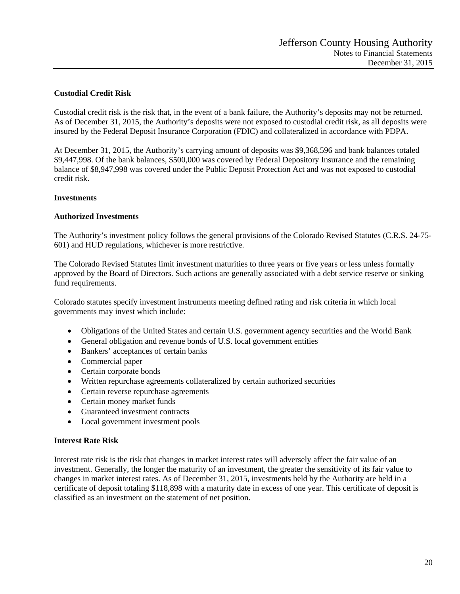## **Custodial Credit Risk**

Custodial credit risk is the risk that, in the event of a bank failure, the Authority's deposits may not be returned. As of December 31, 2015, the Authority's deposits were not exposed to custodial credit risk, as all deposits were insured by the Federal Deposit Insurance Corporation (FDIC) and collateralized in accordance with PDPA.

At December 31, 2015, the Authority's carrying amount of deposits was \$9,368,596 and bank balances totaled \$9,447,998. Of the bank balances, \$500,000 was covered by Federal Depository Insurance and the remaining balance of \$8,947,998 was covered under the Public Deposit Protection Act and was not exposed to custodial credit risk.

#### **Investments**

#### **Authorized Investments**

The Authority's investment policy follows the general provisions of the Colorado Revised Statutes (C.R.S. 24-75- 601) and HUD regulations, whichever is more restrictive.

The Colorado Revised Statutes limit investment maturities to three years or five years or less unless formally approved by the Board of Directors. Such actions are generally associated with a debt service reserve or sinking fund requirements.

Colorado statutes specify investment instruments meeting defined rating and risk criteria in which local governments may invest which include:

- Obligations of the United States and certain U.S. government agency securities and the World Bank
- General obligation and revenue bonds of U.S. local government entities
- Bankers' acceptances of certain banks
- Commercial paper
- Certain corporate bonds
- Written repurchase agreements collateralized by certain authorized securities
- Certain reverse repurchase agreements
- Certain money market funds
- Guaranteed investment contracts
- Local government investment pools

#### **Interest Rate Risk**

Interest rate risk is the risk that changes in market interest rates will adversely affect the fair value of an investment. Generally, the longer the maturity of an investment, the greater the sensitivity of its fair value to changes in market interest rates. As of December 31, 2015, investments held by the Authority are held in a certificate of deposit totaling \$118,898 with a maturity date in excess of one year. This certificate of deposit is classified as an investment on the statement of net position.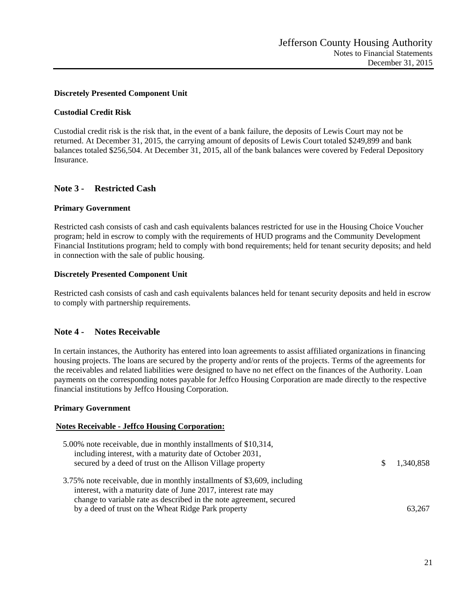#### **Discretely Presented Component Unit**

#### **Custodial Credit Risk**

Custodial credit risk is the risk that, in the event of a bank failure, the deposits of Lewis Court may not be returned. At December 31, 2015, the carrying amount of deposits of Lewis Court totaled \$249,899 and bank balances totaled \$256,504. At December 31, 2015, all of the bank balances were covered by Federal Depository Insurance.

#### **Note 3 - Restricted Cash**

#### **Primary Government**

Restricted cash consists of cash and cash equivalents balances restricted for use in the Housing Choice Voucher program; held in escrow to comply with the requirements of HUD programs and the Community Development Financial Institutions program; held to comply with bond requirements; held for tenant security deposits; and held in connection with the sale of public housing.

#### **Discretely Presented Component Unit**

Restricted cash consists of cash and cash equivalents balances held for tenant security deposits and held in escrow to comply with partnership requirements.

## **Note 4 - Notes Receivable**

In certain instances, the Authority has entered into loan agreements to assist affiliated organizations in financing housing projects. The loans are secured by the property and/or rents of the projects. Terms of the agreements for the receivables and related liabilities were designed to have no net effect on the finances of the Authority. Loan payments on the corresponding notes payable for Jeffco Housing Corporation are made directly to the respective financial institutions by Jeffco Housing Corporation.

#### **Primary Government**

## **Notes Receivable - Jeffco Housing Corporation:**

| 5.00% note receivable, due in monthly installments of \$10,314,          |    |           |
|--------------------------------------------------------------------------|----|-----------|
| including interest, with a maturity date of October 2031,                |    |           |
| secured by a deed of trust on the Allison Village property               | S. | 1,340,858 |
| 3.75% note receivable, due in monthly installments of \$3,609, including |    |           |
| interest, with a maturity date of June 2017, interest rate may           |    |           |
| change to variable rate as described in the note agreement, secured      |    |           |
| by a deed of trust on the Wheat Ridge Park property                      |    | 63.267    |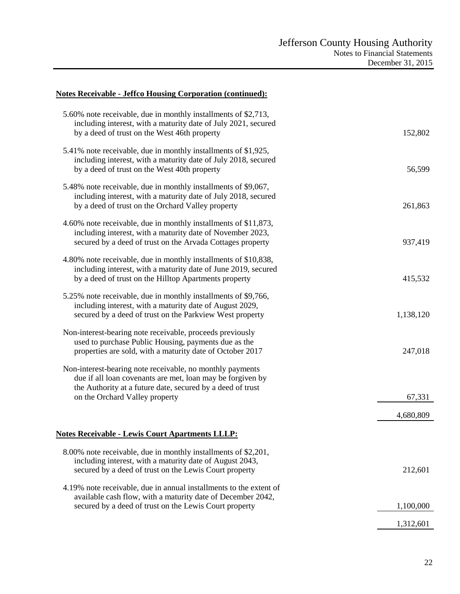|  |  |  | <b>Notes Receivable - Jeffco Housing Corporation (continued):</b> |
|--|--|--|-------------------------------------------------------------------|
|  |  |  |                                                                   |

| 5.60% note receivable, due in monthly installments of \$2,713,<br>including interest, with a maturity date of July 2021, secured<br>by a deed of trust on the West 46th property            | 152,802             |
|---------------------------------------------------------------------------------------------------------------------------------------------------------------------------------------------|---------------------|
| 5.41% note receivable, due in monthly installments of \$1,925,<br>including interest, with a maturity date of July 2018, secured<br>by a deed of trust on the West 40th property            | 56,599              |
| 5.48% note receivable, due in monthly installments of \$9,067,<br>including interest, with a maturity date of July 2018, secured<br>by a deed of trust on the Orchard Valley property       | 261,863             |
| 4.60% note receivable, due in monthly installments of \$11,873,<br>including interest, with a maturity date of November 2023,<br>secured by a deed of trust on the Arvada Cottages property | 937,419             |
| 4.80% note receivable, due in monthly installments of \$10,838,<br>including interest, with a maturity date of June 2019, secured<br>by a deed of trust on the Hilltop Apartments property  | 415,532             |
| 5.25% note receivable, due in monthly installments of \$9,766,<br>including interest, with a maturity date of August 2029,<br>secured by a deed of trust on the Parkview West property      | 1,138,120           |
| Non-interest-bearing note receivable, proceeds previously<br>used to purchase Public Housing, payments due as the<br>properties are sold, with a maturity date of October 2017              | 247,018             |
| Non-interest-bearing note receivable, no monthly payments<br>due if all loan covenants are met, loan may be forgiven by<br>the Authority at a future date, secured by a deed of trust       |                     |
| on the Orchard Valley property                                                                                                                                                              | 67,331<br>4,680,809 |
| <u> Notes Receivable - Lewis Court Apartments LLLP:</u>                                                                                                                                     |                     |
| 8.00% note receivable, due in monthly installments of \$2,201,                                                                                                                              |                     |
| including interest, with a maturity date of August 2043,<br>secured by a deed of trust on the Lewis Court property                                                                          | 212,601             |
| 4.19% note receivable, due in annual installments to the extent of<br>available cash flow, with a maturity date of December 2042,                                                           |                     |
| secured by a deed of trust on the Lewis Court property                                                                                                                                      | 1,100,000           |
|                                                                                                                                                                                             | 1,312,601           |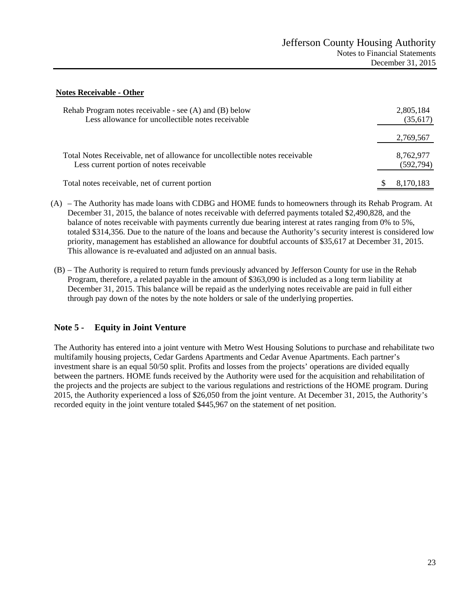#### **Notes Receivable - Other**

| Rehab Program notes receivable - see (A) and (B) below                      | 2,805,184  |
|-----------------------------------------------------------------------------|------------|
| Less allowance for uncollectible notes receivable                           | (35,617)   |
|                                                                             | 2,769,567  |
| Total Notes Receivable, net of allowance for uncollectible notes receivable | 8,762,977  |
| Less current portion of notes receivable                                    | (592, 794) |
| Total notes receivable, net of current portion                              | 8,170,183  |

- (A) The Authority has made loans with CDBG and HOME funds to homeowners through its Rehab Program. At December 31, 2015, the balance of notes receivable with deferred payments totaled \$2,490,828, and the balance of notes receivable with payments currently due bearing interest at rates ranging from 0% to 5%, totaled \$314,356. Due to the nature of the loans and because the Authority's security interest is considered low priority, management has established an allowance for doubtful accounts of \$35,617 at December 31, 2015. This allowance is re-evaluated and adjusted on an annual basis.
- (B) The Authority is required to return funds previously advanced by Jefferson County for use in the Rehab Program, therefore, a related payable in the amount of \$363,090 is included as a long term liability at December 31, 2015. This balance will be repaid as the underlying notes receivable are paid in full either through pay down of the notes by the note holders or sale of the underlying properties.

# **Note 5 - Equity in Joint Venture**

The Authority has entered into a joint venture with Metro West Housing Solutions to purchase and rehabilitate two multifamily housing projects, Cedar Gardens Apartments and Cedar Avenue Apartments. Each partner's investment share is an equal 50/50 split. Profits and losses from the projects' operations are divided equally between the partners. HOME funds received by the Authority were used for the acquisition and rehabilitation of the projects and the projects are subject to the various regulations and restrictions of the HOME program. During 2015, the Authority experienced a loss of \$26,050 from the joint venture. At December 31, 2015, the Authority's recorded equity in the joint venture totaled \$445,967 on the statement of net position.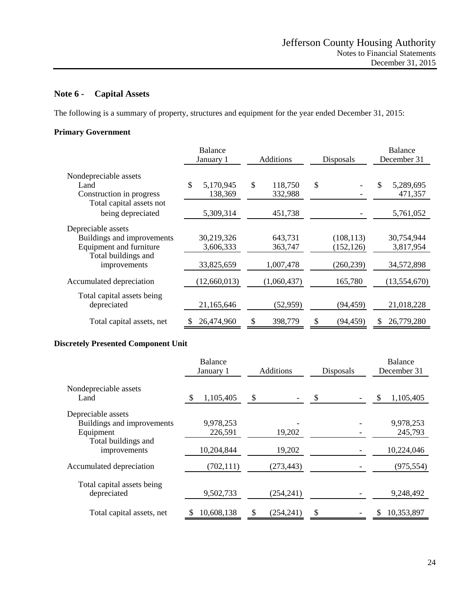# **Note 6 - Capital Assets**

The following is a summary of property, structures and equipment for the year ended December 31, 2015:

# **Primary Government**

| <b>Additions</b><br>January 1 |                | Disposals      | <b>Balance</b><br>December 31 |  |
|-------------------------------|----------------|----------------|-------------------------------|--|
|                               |                |                |                               |  |
| \$<br>5,170,945               | \$<br>118,750  | \$             | \$<br>5,289,695               |  |
| 138,369                       | 332,988        |                | 471,357                       |  |
|                               |                |                |                               |  |
| 5,309,314                     | 451,738        |                | 5,761,052                     |  |
|                               |                |                |                               |  |
| 30,219,326                    | 643,731        | (108, 113)     | 30,754,944                    |  |
| 3,606,333                     | 363,747        | (152, 126)     | 3,817,954                     |  |
|                               |                |                |                               |  |
| 33,825,659                    | 1,007,478      | (260, 239)     | 34,572,898                    |  |
| (12,660,013)                  | (1,060,437)    | 165,780        | (13,554,670)                  |  |
|                               |                |                |                               |  |
| 21,165,646                    | (52, 959)      | (94, 459)      | 21,018,228                    |  |
| 26,474,960                    | 398,779<br>\$  | (94, 459)<br>S | 26,779,280<br>S               |  |
|                               | <b>Balance</b> |                |                               |  |

# **Discretely Presented Component Unit**

|                                     | <b>Balance</b><br>January 1 | <b>Additions</b> | Disposals | Balance<br>December 31                 |  |
|-------------------------------------|-----------------------------|------------------|-----------|----------------------------------------|--|
| Nondepreciable assets<br>Land       | 1,105,405                   | \$               | \$        | $\boldsymbol{\mathsf{S}}$<br>1,105,405 |  |
| Depreciable assets                  |                             |                  |           |                                        |  |
| Buildings and improvements          | 9,978,253                   |                  |           | 9,978,253                              |  |
| Equipment                           | 226,591                     | 19,202           |           | 245,793                                |  |
| Total buildings and<br>improvements | 10,204,844                  | 19,202           |           | 10,224,046                             |  |
| Accumulated depreciation            | (702, 111)                  | (273, 443)       |           | (975, 554)                             |  |
| Total capital assets being          |                             |                  |           |                                        |  |
| depreciated                         | 9,502,733                   | (254, 241)       |           | 9,248,492                              |  |
| Total capital assets, net           | 10,608,138                  | (254, 241)<br>S  | \$        | 10,353,897<br>\$                       |  |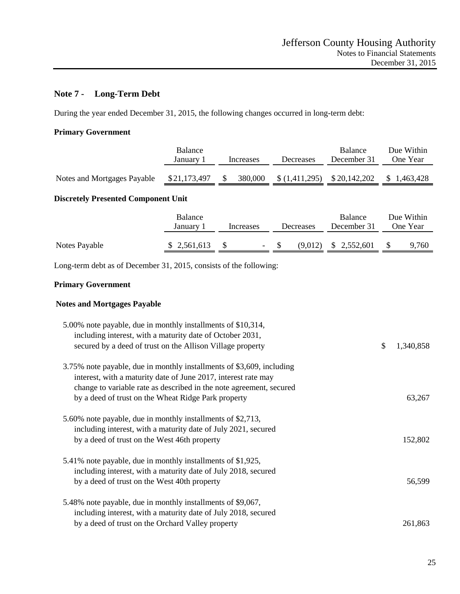# **Note 7 - Long-Term Debt**

During the year ended December 31, 2015, the following changes occurred in long-term debt:

# **Primary Government**

|                             | <b>Balance</b><br>January 1 |               | Increases | Decreases                            | Due Within<br>One Year |             |
|-----------------------------|-----------------------------|---------------|-----------|--------------------------------------|------------------------|-------------|
| Notes and Mortgages Payable | \$21,173,497                | $\mathcal{S}$ |           | 380,000 \$ (1,411,295) \$ 20,142,202 |                        | \$1,463,428 |

# **Discretely Presented Component Unit**

|               | <b>Balance</b> | Decreases |        | <b>Balance</b> |  | Due Within |                        |      |       |
|---------------|----------------|-----------|--------|----------------|--|------------|------------------------|------|-------|
|               | January 1      | Increases |        | December 31    |  | One Year   |                        |      |       |
| Notes Payable | \$2,561,613    |           | $\sim$ |                |  |            | $(9,012)$ \$ 2,552,601 | - \$ | 9,760 |

Long-term debt as of December 31, 2015, consists of the following:

# **Primary Government**

#### **Notes and Mortgages Payable**

| 5.00% note payable, due in monthly installments of \$10,314,<br>including interest, with a maturity date of October 2031, |                 |
|---------------------------------------------------------------------------------------------------------------------------|-----------------|
| secured by a deed of trust on the Allison Village property                                                                | \$<br>1,340,858 |
| 3.75% note payable, due in monthly installments of \$3,609, including                                                     |                 |
| interest, with a maturity date of June 2017, interest rate may                                                            |                 |
| change to variable rate as described in the note agreement, secured                                                       |                 |
| by a deed of trust on the Wheat Ridge Park property                                                                       | 63,267          |
| 5.60% note payable, due in monthly installments of \$2,713,                                                               |                 |
| including interest, with a maturity date of July 2021, secured                                                            |                 |
| by a deed of trust on the West 46th property                                                                              | 152,802         |
| 5.41% note payable, due in monthly installments of \$1,925,                                                               |                 |
| including interest, with a maturity date of July 2018, secured                                                            |                 |
| by a deed of trust on the West 40th property                                                                              | 56,599          |
| 5.48% note payable, due in monthly installments of \$9,067,                                                               |                 |
| including interest, with a maturity date of July 2018, secured                                                            |                 |
| by a deed of trust on the Orchard Valley property                                                                         | 261,863         |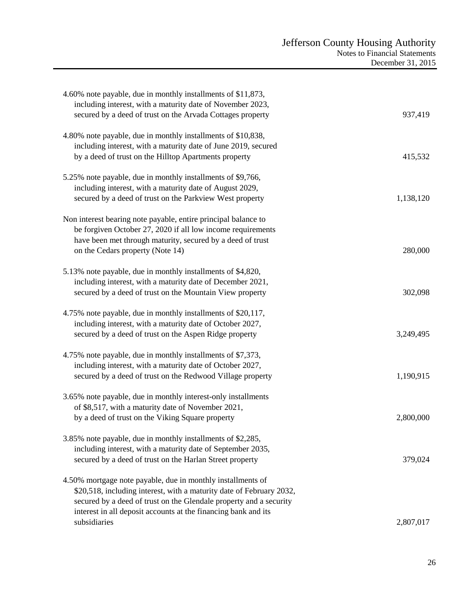| 4.60% note payable, due in monthly installments of \$11,873,<br>including interest, with a maturity date of November 2023,<br>secured by a deed of trust on the Arvada Cottages property                                                                                    | 937,419   |
|-----------------------------------------------------------------------------------------------------------------------------------------------------------------------------------------------------------------------------------------------------------------------------|-----------|
| 4.80% note payable, due in monthly installments of \$10,838,<br>including interest, with a maturity date of June 2019, secured<br>by a deed of trust on the Hilltop Apartments property                                                                                     | 415,532   |
| 5.25% note payable, due in monthly installments of \$9,766,<br>including interest, with a maturity date of August 2029,<br>secured by a deed of trust on the Parkview West property                                                                                         | 1,138,120 |
| Non interest bearing note payable, entire principal balance to<br>be forgiven October 27, 2020 if all low income requirements<br>have been met through maturity, secured by a deed of trust<br>on the Cedars property (Note 14)                                             | 280,000   |
| 5.13% note payable, due in monthly installments of \$4,820,<br>including interest, with a maturity date of December 2021,<br>secured by a deed of trust on the Mountain View property                                                                                       | 302,098   |
| 4.75% note payable, due in monthly installments of \$20,117,<br>including interest, with a maturity date of October 2027,<br>secured by a deed of trust on the Aspen Ridge property                                                                                         | 3,249,495 |
| 4.75% note payable, due in monthly installments of \$7,373,<br>including interest, with a maturity date of October 2027,<br>secured by a deed of trust on the Redwood Village property                                                                                      | 1,190,915 |
| 3.65% note payable, due in monthly interest-only installments<br>of \$8,517, with a maturity date of November 2021,<br>by a deed of trust on the Viking Square property                                                                                                     | 2,800,000 |
| 3.85% note payable, due in monthly installments of \$2,285,<br>including interest, with a maturity date of September 2035,<br>secured by a deed of trust on the Harlan Street property                                                                                      | 379,024   |
| 4.50% mortgage note payable, due in monthly installments of<br>\$20,518, including interest, with a maturity date of February 2032,<br>secured by a deed of trust on the Glendale property and a security<br>interest in all deposit accounts at the financing bank and its |           |
| subsidiaries                                                                                                                                                                                                                                                                | 2,807,017 |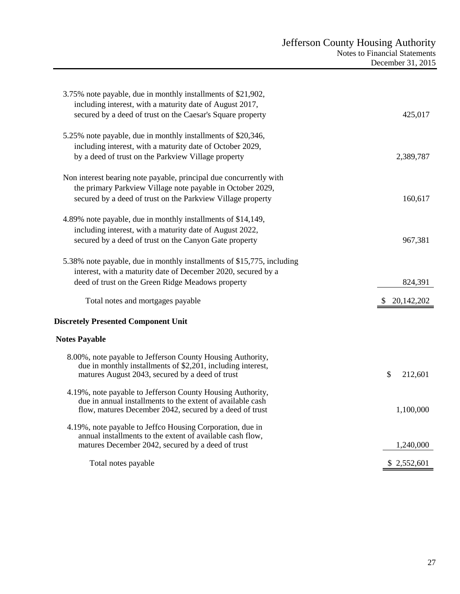| 3.75% note payable, due in monthly installments of \$21,902,<br>including interest, with a maturity date of August 2017,  |               |
|---------------------------------------------------------------------------------------------------------------------------|---------------|
| secured by a deed of trust on the Caesar's Square property                                                                | 425,017       |
| 5.25% note payable, due in monthly installments of \$20,346,                                                              |               |
| including interest, with a maturity date of October 2029,                                                                 |               |
| by a deed of trust on the Parkview Village property                                                                       | 2,389,787     |
| Non interest bearing note payable, principal due concurrently with                                                        |               |
| the primary Parkview Village note payable in October 2029,                                                                |               |
| secured by a deed of trust on the Parkview Village property                                                               | 160,617       |
| 4.89% note payable, due in monthly installments of \$14,149,                                                              |               |
| including interest, with a maturity date of August 2022,                                                                  |               |
| secured by a deed of trust on the Canyon Gate property                                                                    | 967,381       |
| 5.38% note payable, due in monthly installments of \$15,775, including                                                    |               |
| interest, with a maturity date of December 2020, secured by a                                                             |               |
| deed of trust on the Green Ridge Meadows property                                                                         |               |
|                                                                                                                           |               |
|                                                                                                                           | 824,391       |
| Total notes and mortgages payable                                                                                         | 20,142,202    |
|                                                                                                                           |               |
| <b>Discretely Presented Component Unit</b><br><b>Notes Payable</b>                                                        |               |
|                                                                                                                           |               |
| 8.00%, note payable to Jefferson County Housing Authority,<br>due in monthly installments of \$2,201, including interest, |               |
| matures August 2043, secured by a deed of trust                                                                           | \$<br>212,601 |
| 4.19%, note payable to Jefferson County Housing Authority,                                                                |               |
| due in annual installments to the extent of available cash                                                                |               |
| flow, matures December 2042, secured by a deed of trust                                                                   | 1,100,000     |
| 4.19%, note payable to Jeffco Housing Corporation, due in                                                                 |               |
| annual installments to the extent of available cash flow,                                                                 |               |
| matures December 2042, secured by a deed of trust                                                                         | 1,240,000     |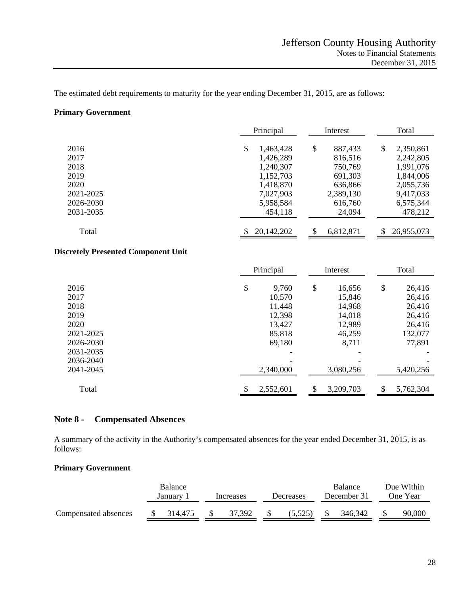The estimated debt requirements to maturity for the year ending December 31, 2015, are as follows:

#### **Primary Government**

|           | Principal        | Interest        | Total            |
|-----------|------------------|-----------------|------------------|
| 2016      | \$<br>1,463,428  | \$<br>887,433   | \$<br>2,350,861  |
| 2017      | 1,426,289        | 816,516         | 2,242,805        |
| 2018      | 1,240,307        | 750,769         | 1,991,076        |
| 2019      | 1,152,703        | 691,303         | 1,844,006        |
| 2020      | 1,418,870        | 636,866         | 2,055,736        |
| 2021-2025 | 7,027,903        | 2,389,130       | 9,417,033        |
| 2026-2030 | 5,958,584        | 616,760         | 6,575,344        |
| 2031-2035 | 454,118          | 24,094          | 478,212          |
|           |                  |                 |                  |
| Total     | \$<br>20,142,202 | \$<br>6,812,871 | \$<br>26,955,073 |

#### **Discretely Presented Component Unit**

|           | Principal       |             | Interest  |    | Total     |
|-----------|-----------------|-------------|-----------|----|-----------|
| 2016      | \$              | \$<br>9,760 | 16,656    | \$ | 26,416    |
| 2017      | 10,570          |             | 15,846    |    | 26,416    |
| 2018      | 11,448          |             | 14,968    |    | 26,416    |
| 2019      | 12,398          |             | 14,018    |    | 26,416    |
| 2020      | 13,427          |             | 12,989    |    | 26,416    |
| 2021-2025 | 85,818          |             | 46,259    |    | 132,077   |
| 2026-2030 | 69,180          |             | 8,711     |    | 77,891    |
| 2031-2035 |                 |             |           |    |           |
| 2036-2040 |                 |             |           |    |           |
| 2041-2045 | 2,340,000       |             | 3,080,256 |    | 5,420,256 |
| Total     | \$<br>2,552,601 | \$          | 3,209,703 | \$ | 5,762,304 |

# **Note 8 - Compensated Absences**

A summary of the activity in the Authority's compensated absences for the year ended December 31, 2015, is as follows:

# **Primary Government**

|                      | <b>Balance</b><br>January 1 | Increases | Decreases | <b>Balance</b><br>December 31 |         |  | Due Within<br>One Year |  |
|----------------------|-----------------------------|-----------|-----------|-------------------------------|---------|--|------------------------|--|
| Compensated absences | 314.475                     | 37,392    | (5.525)   |                               | 346.342 |  | 90,000                 |  |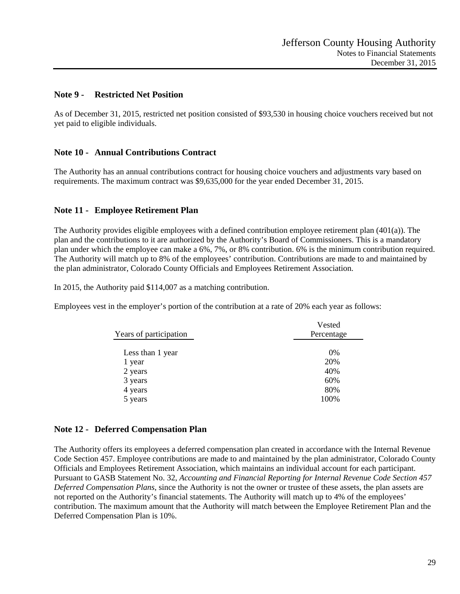## **Note 9 - Restricted Net Position**

As of December 31, 2015, restricted net position consisted of \$93,530 in housing choice vouchers received but not yet paid to eligible individuals.

## **Note 10 - Annual Contributions Contract**

The Authority has an annual contributions contract for housing choice vouchers and adjustments vary based on requirements. The maximum contract was \$9,635,000 for the year ended December 31, 2015.

## **Note 11 - Employee Retirement Plan**

The Authority provides eligible employees with a defined contribution employee retirement plan (401(a)). The plan and the contributions to it are authorized by the Authority's Board of Commissioners. This is a mandatory plan under which the employee can make a 6%, 7%, or 8% contribution. 6% is the minimum contribution required. The Authority will match up to 8% of the employees' contribution. Contributions are made to and maintained by the plan administrator, Colorado County Officials and Employees Retirement Association.

In 2015, the Authority paid \$114,007 as a matching contribution.

Employees vest in the employer's portion of the contribution at a rate of 20% each year as follows:

| Years of participation | Vested<br>Percentage |
|------------------------|----------------------|
| Less than 1 year       | $0\%$                |
| 1 year<br>2 years      | 20%<br>40%           |
| 3 years<br>4 years     | 60%<br>80%           |
| 5 years                | 100%                 |

## **Note 12 - Deferred Compensation Plan**

The Authority offers its employees a deferred compensation plan created in accordance with the Internal Revenue Code Section 457. Employee contributions are made to and maintained by the plan administrator, Colorado County Officials and Employees Retirement Association, which maintains an individual account for each participant. Pursuant to GASB Statement No. 32, *Accounting and Financial Reporting for Internal Revenue Code Section 457 Deferred Compensation Plans*, since the Authority is not the owner or trustee of these assets, the plan assets are not reported on the Authority's financial statements. The Authority will match up to 4% of the employees' contribution. The maximum amount that the Authority will match between the Employee Retirement Plan and the Deferred Compensation Plan is 10%.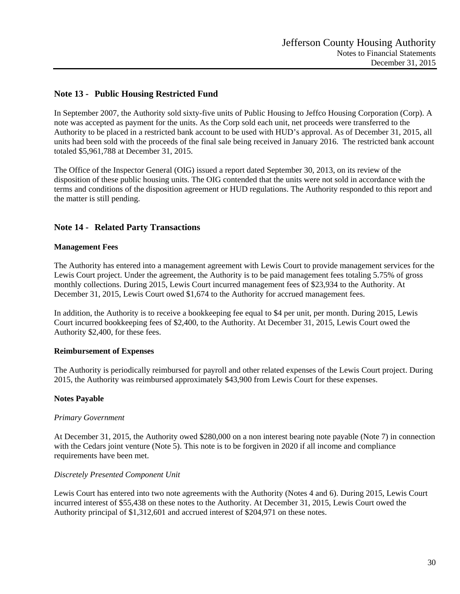# **Note 13 - Public Housing Restricted Fund**

In September 2007, the Authority sold sixty-five units of Public Housing to Jeffco Housing Corporation (Corp). A note was accepted as payment for the units. As the Corp sold each unit, net proceeds were transferred to the Authority to be placed in a restricted bank account to be used with HUD's approval. As of December 31, 2015, all units had been sold with the proceeds of the final sale being received in January 2016. The restricted bank account totaled \$5,961,788 at December 31, 2015.

The Office of the Inspector General (OIG) issued a report dated September 30, 2013, on its review of the disposition of these public housing units. The OIG contended that the units were not sold in accordance with the terms and conditions of the disposition agreement or HUD regulations. The Authority responded to this report and the matter is still pending.

# **Note 14 - Related Party Transactions**

#### **Management Fees**

The Authority has entered into a management agreement with Lewis Court to provide management services for the Lewis Court project. Under the agreement, the Authority is to be paid management fees totaling 5.75% of gross monthly collections. During 2015, Lewis Court incurred management fees of \$23,934 to the Authority. At December 31, 2015, Lewis Court owed \$1,674 to the Authority for accrued management fees.

In addition, the Authority is to receive a bookkeeping fee equal to \$4 per unit, per month. During 2015, Lewis Court incurred bookkeeping fees of \$2,400, to the Authority. At December 31, 2015, Lewis Court owed the Authority \$2,400, for these fees.

#### **Reimbursement of Expenses**

The Authority is periodically reimbursed for payroll and other related expenses of the Lewis Court project. During 2015, the Authority was reimbursed approximately \$43,900 from Lewis Court for these expenses.

#### **Notes Payable**

#### *Primary Government*

At December 31, 2015, the Authority owed \$280,000 on a non interest bearing note payable (Note 7) in connection with the Cedars joint venture (Note 5). This note is to be forgiven in 2020 if all income and compliance requirements have been met.

#### *Discretely Presented Component Unit*

Lewis Court has entered into two note agreements with the Authority (Notes 4 and 6). During 2015, Lewis Court incurred interest of \$55,438 on these notes to the Authority. At December 31, 2015, Lewis Court owed the Authority principal of \$1,312,601 and accrued interest of \$204,971 on these notes.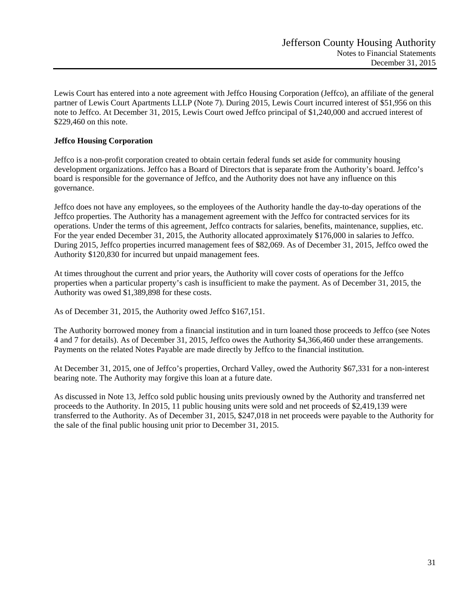Lewis Court has entered into a note agreement with Jeffco Housing Corporation (Jeffco), an affiliate of the general partner of Lewis Court Apartments LLLP (Note 7). During 2015, Lewis Court incurred interest of \$51,956 on this note to Jeffco. At December 31, 2015, Lewis Court owed Jeffco principal of \$1,240,000 and accrued interest of \$229,460 on this note.

## **Jeffco Housing Corporation**

Jeffco is a non-profit corporation created to obtain certain federal funds set aside for community housing development organizations. Jeffco has a Board of Directors that is separate from the Authority's board. Jeffco's board is responsible for the governance of Jeffco, and the Authority does not have any influence on this governance.

Jeffco does not have any employees, so the employees of the Authority handle the day-to-day operations of the Jeffco properties. The Authority has a management agreement with the Jeffco for contracted services for its operations. Under the terms of this agreement, Jeffco contracts for salaries, benefits, maintenance, supplies, etc. For the year ended December 31, 2015, the Authority allocated approximately \$176,000 in salaries to Jeffco. During 2015, Jeffco properties incurred management fees of \$82,069. As of December 31, 2015, Jeffco owed the Authority \$120,830 for incurred but unpaid management fees.

At times throughout the current and prior years, the Authority will cover costs of operations for the Jeffco properties when a particular property's cash is insufficient to make the payment. As of December 31, 2015, the Authority was owed \$1,389,898 for these costs.

As of December 31, 2015, the Authority owed Jeffco \$167,151.

The Authority borrowed money from a financial institution and in turn loaned those proceeds to Jeffco (see Notes 4 and 7 for details). As of December 31, 2015, Jeffco owes the Authority \$4,366,460 under these arrangements. Payments on the related Notes Payable are made directly by Jeffco to the financial institution.

At December 31, 2015, one of Jeffco's properties, Orchard Valley, owed the Authority \$67,331 for a non-interest bearing note. The Authority may forgive this loan at a future date.

As discussed in Note 13, Jeffco sold public housing units previously owned by the Authority and transferred net proceeds to the Authority. In 2015, 11 public housing units were sold and net proceeds of \$2,419,139 were transferred to the Authority. As of December 31, 2015, \$247,018 in net proceeds were payable to the Authority for the sale of the final public housing unit prior to December 31, 2015.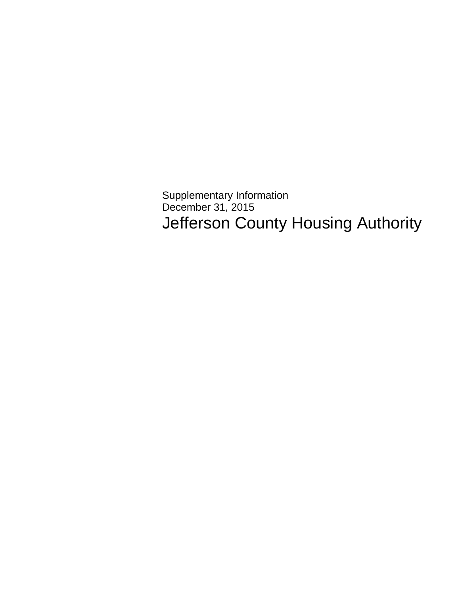Supplementary Information December 31, 2015 Jefferson County Housing Authority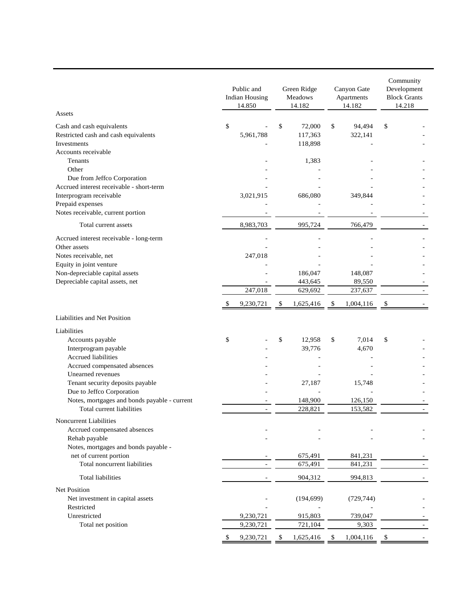| Assets                                                                           | Public and<br><b>Indian Housing</b><br>14.850 | Green Ridge<br>Meadows<br>14.182   |     | Canyon Gate<br>Apartments<br>14.182 | Community<br>Development<br><b>Block Grants</b><br>14.218 |
|----------------------------------------------------------------------------------|-----------------------------------------------|------------------------------------|-----|-------------------------------------|-----------------------------------------------------------|
|                                                                                  |                                               |                                    |     |                                     |                                                           |
| Cash and cash equivalents<br>Restricted cash and cash equivalents<br>Investments | \$<br>5,961,788                               | \$<br>72,000<br>117,363<br>118,898 | \$  | 94,494<br>322,141                   | \$                                                        |
| Accounts receivable<br>Tenants<br>Other                                          |                                               | 1,383                              |     |                                     |                                                           |
| Due from Jeffco Corporation                                                      |                                               |                                    |     |                                     |                                                           |
| Accrued interest receivable - short-term                                         |                                               |                                    |     |                                     |                                                           |
| Interprogram receivable                                                          | 3,021,915                                     | 686,080                            |     | 349,844                             |                                                           |
| Prepaid expenses                                                                 |                                               |                                    |     |                                     |                                                           |
| Notes receivable, current portion                                                |                                               |                                    |     |                                     |                                                           |
| Total current assets                                                             | 8,983,703                                     | 995,724                            |     | 766,479                             |                                                           |
| Accrued interest receivable - long-term<br>Other assets                          |                                               |                                    |     |                                     |                                                           |
| Notes receivable, net                                                            | 247,018                                       |                                    |     |                                     |                                                           |
| Equity in joint venture                                                          |                                               |                                    |     |                                     |                                                           |
| Non-depreciable capital assets                                                   |                                               | 186,047                            |     | 148,087                             |                                                           |
| Depreciable capital assets, net                                                  |                                               | 443,645                            |     | 89,550                              |                                                           |
|                                                                                  | 247,018                                       | 629,692                            |     | 237,637                             |                                                           |
|                                                                                  | \$<br>9,230,721                               | \$<br>1,625,416                    | \$  | 1,004,116                           | \$                                                        |
| Liabilities and Net Position                                                     |                                               |                                    |     |                                     |                                                           |
| Liabilities                                                                      |                                               |                                    |     |                                     |                                                           |
| Accounts payable                                                                 | \$                                            | \$<br>12,958                       | \$  | 7,014                               | \$                                                        |
| Interprogram payable                                                             |                                               | 39,776                             |     | 4,670                               |                                                           |
| Accrued liabilities                                                              |                                               |                                    |     |                                     |                                                           |
| Accrued compensated absences                                                     |                                               |                                    |     |                                     |                                                           |
| Unearned revenues<br>Tenant security deposits payable                            |                                               |                                    |     |                                     |                                                           |
| Due to Jeffco Corporation                                                        |                                               | 27,187                             |     | 15,748                              |                                                           |
| Notes, mortgages and bonds payable - current                                     |                                               | 148,900                            |     | 126,150                             |                                                           |
| Total current liabilities                                                        |                                               | 228,821                            |     | 153,582                             |                                                           |
| Noncurrent Liabilities                                                           |                                               |                                    |     |                                     |                                                           |
| Accrued compensated absences                                                     |                                               |                                    |     |                                     |                                                           |
| Rehab payable                                                                    |                                               |                                    |     |                                     |                                                           |
| Notes, mortgages and bonds payable -                                             |                                               |                                    |     |                                     |                                                           |
| net of current portion                                                           |                                               | 675,491                            |     | 841,231                             |                                                           |
| Total noncurrent liabilities                                                     |                                               | 675,491                            |     | 841,231                             |                                                           |
| <b>Total liabilities</b>                                                         |                                               | 904,312                            |     | 994,813                             |                                                           |
| Net Position                                                                     |                                               |                                    |     |                                     |                                                           |
| Net investment in capital assets                                                 |                                               | (194, 699)                         |     | (729, 744)                          |                                                           |
| Restricted                                                                       |                                               |                                    |     |                                     |                                                           |
| Unrestricted                                                                     | 9,230,721                                     | 915,803                            |     | 739,047                             |                                                           |
| Total net position                                                               | 9,230,721                                     | 721,104                            |     | 9,303                               |                                                           |
|                                                                                  | 9,230,721                                     | \$<br>1,625,416                    | \$. | 1,004,116                           | -S                                                        |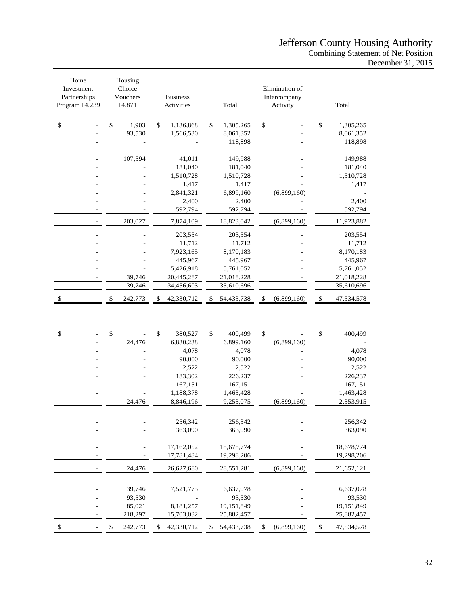# Jefferson County Housing Authority Combining Statement of Net Position December 31, 2015

| \$<br>\$<br>\$<br>\$<br>\$<br>1,903<br>1,136,868<br>\$<br>1,305,265<br>1,305,265<br>93,530<br>1,566,530<br>8,061,352<br>8,061,352<br>118,898<br>118,898<br>107,594<br>41,011<br>149,988<br>149,988<br>181,040<br>181,040<br>181,040<br>1,510,728<br>1,510,728<br>1,510,728<br>1,417<br>1,417<br>1,417<br>2,841,321<br>6,899,160<br>(6,899,160)<br>2,400<br>2,400<br>2,400<br>592,794<br>592,794<br>592,794<br>203,027<br>(6,899,160)<br>7,874,109<br>18,823,042<br>11,923,882<br>203,554<br>203,554<br>203,554<br>11,712<br>11,712<br>11,712<br>7,923,165<br>8,170,183<br>8,170,183<br>445,967<br>445,967<br>445,967<br>5,426,918<br>5,761,052<br>5,761,052<br>39,746<br>20,445,287<br>21,018,228<br>21,018,228<br>39,746<br>34,456,603<br>35,610,696<br>35,610,696<br>\$<br>(6,899,160)<br>\$<br>47,534,578<br>\$<br>242,773<br>42,330,712<br>54,433,738<br>\$<br>\$<br>\$<br>\$<br>\$<br>\$<br>380,527<br>\$<br>400,499<br>\$<br>\$<br>400,499<br>24,476<br>6,830,238<br>(6,899,160)<br>6,899,160<br>4,078<br>4,078<br>4,078<br>90,000<br>90,000<br>90,000 | Home<br>Investment<br>Partnerships<br>Program 14.239 | Housing<br>Choice<br>Vouchers<br>14.871 | <b>Business</b><br>Activities | Total | Elimination of<br>Intercompany<br>Activity | Total |
|--------------------------------------------------------------------------------------------------------------------------------------------------------------------------------------------------------------------------------------------------------------------------------------------------------------------------------------------------------------------------------------------------------------------------------------------------------------------------------------------------------------------------------------------------------------------------------------------------------------------------------------------------------------------------------------------------------------------------------------------------------------------------------------------------------------------------------------------------------------------------------------------------------------------------------------------------------------------------------------------------------------------------------------------------------------|------------------------------------------------------|-----------------------------------------|-------------------------------|-------|--------------------------------------------|-------|
|                                                                                                                                                                                                                                                                                                                                                                                                                                                                                                                                                                                                                                                                                                                                                                                                                                                                                                                                                                                                                                                              |                                                      |                                         |                               |       |                                            |       |
|                                                                                                                                                                                                                                                                                                                                                                                                                                                                                                                                                                                                                                                                                                                                                                                                                                                                                                                                                                                                                                                              |                                                      |                                         |                               |       |                                            |       |
|                                                                                                                                                                                                                                                                                                                                                                                                                                                                                                                                                                                                                                                                                                                                                                                                                                                                                                                                                                                                                                                              |                                                      |                                         |                               |       |                                            |       |
|                                                                                                                                                                                                                                                                                                                                                                                                                                                                                                                                                                                                                                                                                                                                                                                                                                                                                                                                                                                                                                                              |                                                      |                                         |                               |       |                                            |       |
|                                                                                                                                                                                                                                                                                                                                                                                                                                                                                                                                                                                                                                                                                                                                                                                                                                                                                                                                                                                                                                                              |                                                      |                                         |                               |       |                                            |       |
|                                                                                                                                                                                                                                                                                                                                                                                                                                                                                                                                                                                                                                                                                                                                                                                                                                                                                                                                                                                                                                                              |                                                      |                                         |                               |       |                                            |       |
|                                                                                                                                                                                                                                                                                                                                                                                                                                                                                                                                                                                                                                                                                                                                                                                                                                                                                                                                                                                                                                                              |                                                      |                                         |                               |       |                                            |       |
|                                                                                                                                                                                                                                                                                                                                                                                                                                                                                                                                                                                                                                                                                                                                                                                                                                                                                                                                                                                                                                                              |                                                      |                                         |                               |       |                                            |       |
| 2,522<br>2,522<br>2,522                                                                                                                                                                                                                                                                                                                                                                                                                                                                                                                                                                                                                                                                                                                                                                                                                                                                                                                                                                                                                                      |                                                      |                                         |                               |       |                                            |       |
| 183,302<br>226,237<br>226,237<br>167,151<br>167,151<br>167,151<br>1,188,378<br>1,463,428<br>1,463,428                                                                                                                                                                                                                                                                                                                                                                                                                                                                                                                                                                                                                                                                                                                                                                                                                                                                                                                                                        |                                                      |                                         |                               |       |                                            |       |
| 24,476<br>(6,899,160)<br>8,846,196<br>9,253,075<br>2,353,915                                                                                                                                                                                                                                                                                                                                                                                                                                                                                                                                                                                                                                                                                                                                                                                                                                                                                                                                                                                                 |                                                      |                                         |                               |       |                                            |       |
| 256,342<br>256,342<br>256,342<br>363,090<br>363,090<br>363,090                                                                                                                                                                                                                                                                                                                                                                                                                                                                                                                                                                                                                                                                                                                                                                                                                                                                                                                                                                                               |                                                      |                                         |                               |       |                                            |       |
| 17,162,052<br>18,678,774<br>18,678,774                                                                                                                                                                                                                                                                                                                                                                                                                                                                                                                                                                                                                                                                                                                                                                                                                                                                                                                                                                                                                       |                                                      |                                         |                               |       |                                            |       |
| 17,781,484<br>19,298,206<br>19,298,206                                                                                                                                                                                                                                                                                                                                                                                                                                                                                                                                                                                                                                                                                                                                                                                                                                                                                                                                                                                                                       |                                                      |                                         |                               |       |                                            |       |
| 24,476<br>(6,899,160)<br>26,627,680<br>28,551,281<br>21,652,121                                                                                                                                                                                                                                                                                                                                                                                                                                                                                                                                                                                                                                                                                                                                                                                                                                                                                                                                                                                              |                                                      |                                         |                               |       |                                            |       |
| 39,746<br>6,637,078<br>6,637,078<br>7,521,775<br>93,530<br>93,530<br>93,530<br>85,021<br>8, 181, 257<br>19, 151, 849<br>19, 151, 849                                                                                                                                                                                                                                                                                                                                                                                                                                                                                                                                                                                                                                                                                                                                                                                                                                                                                                                         |                                                      |                                         |                               |       |                                            |       |
| 218,297<br>15,703,032<br>25,882,457<br>25,882,457<br>242,773<br>42,330,712<br>54,433,738<br>\$<br>(6,899,160)<br>\$<br>\$<br>\$<br>\$<br>\$<br>47,534,578                                                                                                                                                                                                                                                                                                                                                                                                                                                                                                                                                                                                                                                                                                                                                                                                                                                                                                    |                                                      |                                         |                               |       |                                            |       |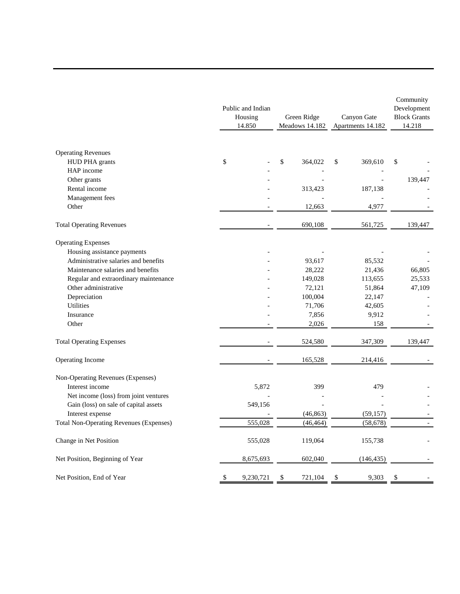|                                                | Public and Indian<br>Housing<br>14.850 |           | Green Ridge<br>Meadows 14.182 |    | Canyon Gate<br>Apartments 14.182 | Community<br>Development<br><b>Block Grants</b><br>14.218 |  |
|------------------------------------------------|----------------------------------------|-----------|-------------------------------|----|----------------------------------|-----------------------------------------------------------|--|
| <b>Operating Revenues</b>                      |                                        |           |                               |    |                                  |                                                           |  |
| HUD PHA grants                                 | \$                                     |           | \$<br>364,022                 | \$ | 369,610                          | \$                                                        |  |
| HAP income                                     |                                        |           |                               |    |                                  |                                                           |  |
| Other grants                                   |                                        |           |                               |    |                                  | 139,447                                                   |  |
| Rental income                                  |                                        |           | 313,423                       |    | 187,138                          |                                                           |  |
| Management fees                                |                                        |           |                               |    |                                  |                                                           |  |
| Other                                          |                                        |           | 12,663                        |    | 4,977                            |                                                           |  |
| <b>Total Operating Revenues</b>                |                                        |           | 690,108                       |    | 561,725                          | 139,447                                                   |  |
| <b>Operating Expenses</b>                      |                                        |           |                               |    |                                  |                                                           |  |
| Housing assistance payments                    |                                        |           |                               |    |                                  |                                                           |  |
| Administrative salaries and benefits           |                                        |           | 93,617                        |    | 85,532                           |                                                           |  |
| Maintenance salaries and benefits              |                                        |           | 28,222                        |    | 21,436                           | 66,805                                                    |  |
| Regular and extraordinary maintenance          |                                        |           | 149,028                       |    | 113,655                          | 25,533                                                    |  |
| Other administrative                           |                                        |           | 72,121                        |    | 51,864                           | 47,109                                                    |  |
| Depreciation                                   |                                        |           | 100,004                       |    | 22,147                           |                                                           |  |
| Utilities                                      |                                        |           | 71,706                        |    | 42,605                           |                                                           |  |
| Insurance                                      |                                        |           | 7,856                         |    | 9,912                            |                                                           |  |
| Other                                          |                                        |           | 2,026                         |    | 158                              |                                                           |  |
| <b>Total Operating Expenses</b>                |                                        |           | 524,580                       |    | 347,309                          | 139,447                                                   |  |
| Operating Income                               |                                        |           | 165,528                       |    | 214,416                          |                                                           |  |
| Non-Operating Revenues (Expenses)              |                                        |           |                               |    |                                  |                                                           |  |
| Interest income                                |                                        | 5,872     | 399                           |    | 479                              |                                                           |  |
| Net income (loss) from joint ventures          |                                        |           |                               |    |                                  |                                                           |  |
| Gain (loss) on sale of capital assets          |                                        | 549,156   |                               |    |                                  |                                                           |  |
| Interest expense                               |                                        |           | (46, 863)                     |    | (59, 157)                        |                                                           |  |
| <b>Total Non-Operating Revenues (Expenses)</b> |                                        | 555,028   | (46, 464)                     |    | (58, 678)                        |                                                           |  |
| Change in Net Position                         |                                        | 555,028   | 119,064                       |    | 155,738                          |                                                           |  |
| Net Position, Beginning of Year                |                                        | 8,675,693 | 602,040                       |    | (146, 435)                       |                                                           |  |
| Net Position, End of Year                      | \$                                     | 9,230,721 | \$<br>721,104                 | \$ | 9,303                            | \$                                                        |  |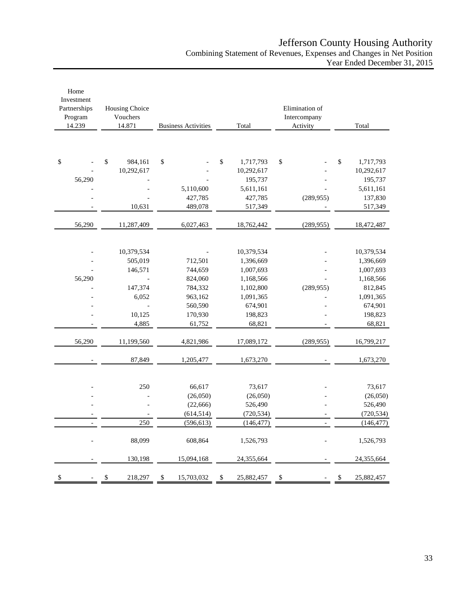# Jefferson County Housing Authority

Combining Statement of Revenues, Expenses and Changes in Net Position Year Ended December 31, 2015

| Home<br>Investment<br>Partnerships<br>Program<br>14.239 |        | Housing Choice<br>Vouchers<br>14.871 | <b>Business Activities</b> | Total            | Elimination of<br>Intercompany<br>Activity | Total            |
|---------------------------------------------------------|--------|--------------------------------------|----------------------------|------------------|--------------------------------------------|------------------|
|                                                         |        |                                      |                            |                  |                                            |                  |
|                                                         |        |                                      |                            |                  |                                            |                  |
| $\mathbb{S}$                                            |        | \$<br>984,161                        | \$                         | \$<br>1,717,793  | \$                                         | \$<br>1,717,793  |
|                                                         |        | 10,292,617                           |                            | 10,292,617       |                                            | 10,292,617       |
|                                                         | 56,290 |                                      |                            | 195,737          |                                            | 195,737          |
|                                                         |        |                                      | 5,110,600                  | 5,611,161        |                                            | 5,611,161        |
|                                                         |        |                                      | 427,785                    | 427,785          | (289, 955)                                 | 137,830          |
|                                                         |        | 10,631                               | 489,078                    | 517,349          |                                            | 517,349          |
|                                                         | 56,290 | 11,287,409                           | 6,027,463                  | 18,762,442       | (289, 955)                                 | 18,472,487       |
|                                                         |        |                                      |                            |                  |                                            |                  |
|                                                         |        | 10,379,534                           |                            | 10,379,534       |                                            | 10,379,534       |
|                                                         |        | 505,019                              | 712,501                    | 1,396,669        |                                            | 1,396,669        |
|                                                         |        | 146,571                              | 744,659                    | 1,007,693        |                                            | 1,007,693        |
|                                                         | 56,290 |                                      | 824,060                    | 1,168,566        |                                            | 1,168,566        |
|                                                         |        | 147,374                              | 784,332                    | 1,102,800        | (289, 955)                                 | 812,845          |
|                                                         |        | 6,052                                | 963,162                    | 1,091,365        |                                            | 1,091,365        |
|                                                         |        |                                      | 560,590                    | 674,901          |                                            | 674,901          |
|                                                         |        | 10,125                               | 170,930                    | 198,823          |                                            | 198,823          |
|                                                         |        | 4,885                                | 61,752                     | 68,821           |                                            | 68,821           |
|                                                         | 56,290 | 11,199,560                           | 4,821,986                  | 17,089,172       | (289, 955)                                 | 16,799,217       |
|                                                         |        | 87,849                               | 1,205,477                  | 1,673,270        |                                            | 1,673,270        |
|                                                         |        |                                      |                            |                  |                                            |                  |
|                                                         |        | 250                                  | 66,617                     | 73,617           |                                            | 73,617           |
|                                                         |        |                                      | (26,050)                   | (26,050)         |                                            | (26,050)         |
|                                                         |        |                                      | (22, 666)                  | 526,490          |                                            | 526,490          |
|                                                         |        |                                      | (614, 514)                 | (720, 534)       |                                            | (720, 534)       |
|                                                         |        | 250                                  | (596, 613)                 | (146, 477)       |                                            | (146, 477)       |
|                                                         |        | 88,099                               | 608,864                    | 1,526,793        |                                            | 1,526,793        |
|                                                         |        | 130,198                              | 15,094,168                 | 24,355,664       |                                            | 24,355,664       |
| \$                                                      |        | \$<br>218,297                        | \$<br>15,703,032           | \$<br>25,882,457 | \$                                         | \$<br>25,882,457 |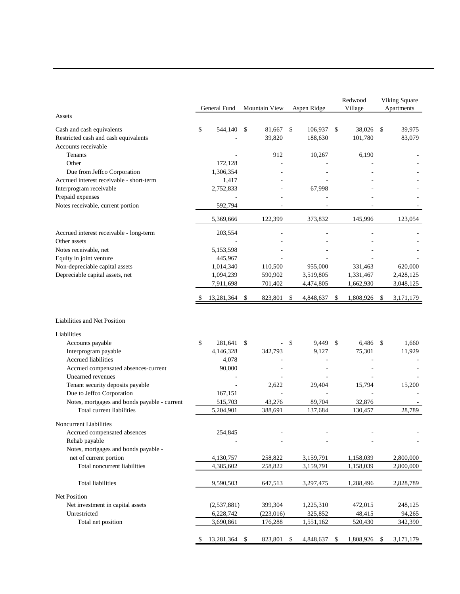|                                                             | General Fund         |     | Mountain View | Aspen Ridge           |    | Redwood<br>Village | Viking Square<br>Apartments |
|-------------------------------------------------------------|----------------------|-----|---------------|-----------------------|----|--------------------|-----------------------------|
| Assets                                                      |                      |     |               |                       |    |                    |                             |
| Cash and cash equivalents                                   | \$<br>544,140        | \$  | 81,667        | 106,937<br>\$         | \$ | 38,026             | \$<br>39,975                |
| Restricted cash and cash equivalents<br>Accounts receivable |                      |     | 39,820        | 188,630               |    | 101,780            | 83,079                      |
| Tenants                                                     |                      |     | 912           | 10,267                |    | 6,190              |                             |
| Other                                                       | 172,128              |     |               |                       |    |                    |                             |
| Due from Jeffco Corporation                                 | 1,306,354            |     |               |                       |    |                    |                             |
| Accrued interest receivable - short-term                    | 1,417                |     |               |                       |    |                    |                             |
| Interprogram receivable                                     | 2,752,833            |     |               | 67,998                |    |                    |                             |
| Prepaid expenses<br>Notes receivable, current portion       | 592,794              |     |               |                       |    |                    |                             |
|                                                             |                      |     |               |                       |    |                    |                             |
|                                                             | 5,369,666            |     | 122,399       | 373,832               |    | 145,996            | 123,054                     |
| Accrued interest receivable - long-term                     | 203,554              |     |               |                       |    |                    |                             |
| Other assets                                                |                      |     |               |                       |    |                    |                             |
| Notes receivable, net                                       | 5,153,598            |     |               |                       |    |                    |                             |
| Equity in joint venture<br>Non-depreciable capital assets   | 445,967<br>1,014,340 |     | 110,500       | 955,000               |    | 331,463            |                             |
| Depreciable capital assets, net                             | 1,094,239            |     | 590,902       | 3,519,805             |    | 1,331,467          | 620,000<br>2,428,125        |
|                                                             | 7,911,698            |     | 701,402       | 4,474,805             |    | 1,662,930          | 3,048,125                   |
|                                                             | \$<br>13,281,364     | \$  | 823,801       | \$<br>4,848,637       | S  | 1,808,926          | \$<br>3,171,179             |
| Liabilities and Net Position                                |                      |     |               |                       |    |                    |                             |
| Liabilities                                                 |                      |     |               |                       |    |                    |                             |
| Accounts payable                                            | \$<br>281,641        | -S  |               | $\mathbb{S}$<br>9,449 | -S | 6,486              | \$<br>1,660                 |
| Interprogram payable                                        | 4,146,328            |     | 342,793       | 9,127                 |    | 75,301             | 11,929                      |
| Accrued liabilities<br>Accrued compensated absences-current | 4,078<br>90,000      |     |               |                       |    |                    |                             |
| Unearned revenues                                           |                      |     |               |                       |    |                    |                             |
| Tenant security deposits payable                            |                      |     | 2,622         | 29,404                |    | 15,794             | 15,200                      |
| Due to Jeffco Corporation                                   | 167,151              |     |               |                       |    |                    |                             |
| Notes, mortgages and bonds payable - current                | 515,703              |     | 43,276        | 89,704                |    | 32,876             |                             |
| Total current liabilities                                   | 5,204,901            |     | 388,691       | 137,684               |    | 130,457            | 28,789                      |
| Noncurrent Liabilities                                      |                      |     |               |                       |    |                    |                             |
| Accrued compensated absences                                | 254,845              |     |               |                       |    |                    |                             |
| Rehab payable<br>Notes, mortgages and bonds payable -       |                      |     |               |                       |    |                    |                             |
| net of current portion                                      | 4,130,757            |     | 258,822       | 3,159,791             |    | 1,158,039          | 2,800,000                   |
| Total noncurrent liabilities                                | 4,385,602            |     | 258,822       | 3,159,791             |    | 1,158,039          | 2,800,000                   |
|                                                             |                      |     |               |                       |    |                    |                             |
| Total liabilities                                           | 9,590,503            |     | 647,513       | 3,297,475             |    | 1,288,496          | 2,828,789                   |
| <b>Net Position</b>                                         |                      |     |               |                       |    |                    |                             |
| Net investment in capital assets                            | (2,537,881)          |     | 399,304       | 1,225,310             |    | 472,015            | 248,125                     |
| Unrestricted                                                | 6,228,742            |     | (223, 016)    | 325,852               |    | 48,415             | 94,265                      |
| Total net position                                          | 3,690,861            |     | 176,288       | 1,551,162             |    | 520,430            | 342,390                     |
|                                                             | \$<br>13,281,364     | -\$ | 823,801       | \$<br>4,848,637       | \$ | 1,808,926 \$       | 3,171,179                   |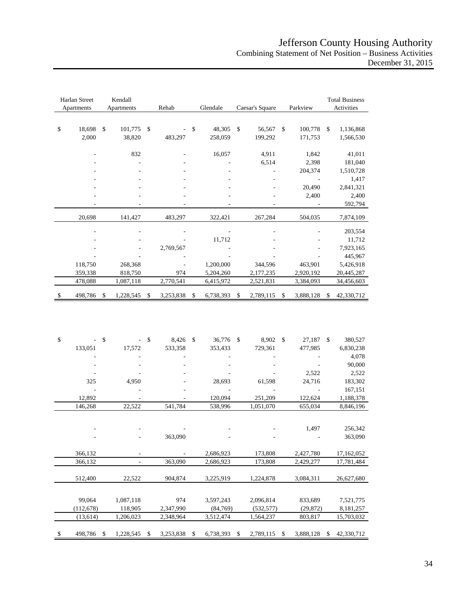# Jefferson County Housing Authority Combining Statement of Net Position – Business Activities December 31, 2015

| Harlan Street<br>Apartments |              | Kendall<br>Apartments | Rehab           | Glendale        |               | Caesar's Square | Parkview        | <b>Total Business</b><br>Activities |
|-----------------------------|--------------|-----------------------|-----------------|-----------------|---------------|-----------------|-----------------|-------------------------------------|
|                             |              |                       |                 |                 |               |                 |                 |                                     |
| \$<br>18,698                | $\mathbb{S}$ | 101,775               | \$              | \$<br>48,305    | $\mathbb{S}$  | 56,567          | \$<br>100,778   | \$<br>1,136,868                     |
| 2,000                       |              | 38,820                | 483,297         | 258,059         |               | 199,292         | 171,753         | 1,566,530                           |
|                             |              | 832                   |                 | 16,057          |               | 4,911           | 1,842           | 41,011                              |
|                             |              |                       |                 |                 |               | 6,514           | 2,398           | 181,040                             |
|                             |              |                       |                 |                 |               |                 | 204,374         | 1,510,728                           |
|                             |              |                       |                 |                 |               |                 |                 | 1,417                               |
|                             |              |                       |                 |                 |               |                 | 20,490          | 2,841,321                           |
|                             |              |                       |                 |                 |               |                 | 2,400           | 2,400                               |
|                             |              |                       |                 |                 |               |                 |                 | 592,794                             |
| 20,698                      |              | 141,427               | 483,297         | 322,421         |               | 267,284         | 504,035         | 7,874,109                           |
|                             |              |                       |                 |                 |               |                 |                 | 203,554                             |
|                             |              |                       |                 | 11,712          |               |                 |                 | 11,712                              |
|                             |              |                       | 2,769,567       |                 |               |                 |                 | 7,923,165                           |
|                             |              |                       |                 |                 |               |                 |                 | 445,967                             |
| 118,750                     |              | 268,368               |                 | 1,200,000       |               | 344,596         | 463,901         | 5,426,918                           |
| 359,338                     |              | 818,750               | 974             | 5,204,260       |               | 2,177,235       | 2,920,192       | 20,445,287                          |
| 478,088                     |              | 1,087,118             | 2,770,541       | 6,415,972       |               | 2,521,831       | 3,384,093       | 34,456,603                          |
| \$<br>498,786               | \$           | 1,228,545             | \$<br>3,253,838 | \$<br>6,738,393 | $\mathcal{S}$ | 2,789,115       | \$<br>3,888,128 | \$<br>42,330,712                    |
|                             |              |                       |                 |                 |               |                 |                 |                                     |
| \$<br>÷                     | \$           |                       | \$<br>8,426     | \$<br>36,776    | \$            | 8,902           | \$<br>27,187    | \$<br>380,527                       |
| 133,051                     |              | 17,572                | 533,358         | 353,433         |               | 729,361         | 477,985         | 6,830,238                           |
|                             |              |                       |                 |                 |               |                 |                 | 4,078                               |
|                             |              |                       |                 |                 |               |                 |                 | 90,000                              |
|                             |              |                       |                 |                 |               |                 | 2,522           | 2,522                               |
| 325                         |              | 4,950                 |                 | 28,693          |               | 61,598          | 24,716          | 183,302                             |
| 12,892                      |              |                       |                 | 120,094         |               | 251,209         | ä,<br>122,624   | 167,151                             |
| 146,268                     |              | 22,522                | 541,784         | 538,996         |               | 1,051,070       | 655,034         | 1,188,378<br>8,846,196              |
|                             |              |                       |                 |                 |               |                 |                 |                                     |
|                             |              |                       |                 |                 |               |                 |                 |                                     |
|                             |              |                       |                 |                 |               |                 | 1,497           | 256,342                             |
|                             |              |                       | 363,090         |                 |               |                 |                 | 363,090                             |
| 366,132                     |              |                       |                 | 2,686,923       |               | 173,808         | 2,427,780       | 17,162,052                          |
| 366,132                     |              |                       | 363,090         | 2,686,923       |               | 173,808         | 2,429,277       | 17,781,484                          |
|                             |              |                       |                 |                 |               |                 |                 |                                     |
| 512,400                     |              | 22,522                | 904,874         | 3,225,919       |               | 1,224,878       | 3,084,311       | 26,627,680                          |
| 99,064                      |              | 1,087,118             | 974             | 3,597,243       |               | 2,096,814       | 833,689         | 7,521,775                           |
| (112, 678)                  |              | 118,905               | 2,347,990       | (84, 769)       |               | (532, 577)      | (29, 872)       | 8,181,257                           |
| (13,614)                    |              | 1,206,023             | 2,348,964       | 3,512,474       |               | 1,564,237       | 803,817         | 15,703,032                          |
|                             |              |                       |                 |                 |               |                 |                 |                                     |
| \$<br>498,786               | \$           | 1,228,545             | \$<br>3,253,838 | \$<br>6,738,393 | -S            | 2,789,115       | \$<br>3,888,128 | \$<br>42,330,712                    |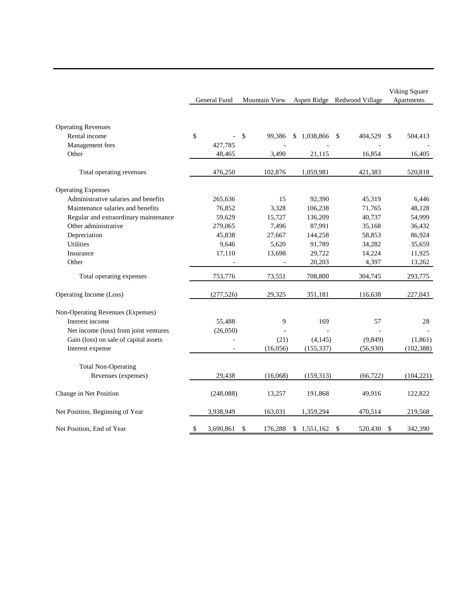|                                       | General Fund    | Mountain View  |                  | Aspen Ridge Redwood Village | Viking Square<br>Apartments |
|---------------------------------------|-----------------|----------------|------------------|-----------------------------|-----------------------------|
|                                       |                 |                |                  |                             |                             |
| <b>Operating Revenues</b>             |                 |                |                  |                             |                             |
| Rental income                         | \$              | \$<br>99,386   | 1,038,866<br>\$. | 404,529<br><sup>\$</sup>    | <sup>\$</sup><br>504,413    |
| Management fees                       | 427,785         |                |                  |                             |                             |
| Other                                 | 48,465          | 3,490          | 21,115           | 16,854                      | 16,405                      |
| Total operating revenues              | 476,250         | 102,876        | 1,059,981        | 421,383                     | 520,818                     |
| <b>Operating Expenses</b>             |                 |                |                  |                             |                             |
| Administrative salaries and benefits  | 265,636         | 15             | 92,390           | 45,319                      | 6,446                       |
| Maintenance salaries and benefits     | 76,852          | 3,328          | 106,238          | 71,765                      | 48,128                      |
| Regular and extraordinary maintenance | 59,629          | 15,727         | 136,209          | 40,737                      | 54,999                      |
| Other administrative                  | 279,065         | 7,496          | 87,991           | 35,168                      | 36,432                      |
| Depreciation                          | 45,838          | 27,667         | 144,258          | 58,853                      | 86,924                      |
| Utilities                             | 9,646           | 5,620          | 91,789           | 34,282                      | 35,659                      |
| Insurance                             | 17,110          | 13,698         | 29,722           | 14,224                      | 11,925                      |
| Other                                 |                 |                | 20,203           | 4,397                       | 13,262                      |
| Total operating expenses              | 753,776         | 73,551         | 708,800          | 304,745                     | 293,775                     |
| Operating Income (Loss)               | (277, 526)      | 29,325         | 351,181          | 116,638                     | 227,043                     |
| Non-Operating Revenues (Expenses)     |                 |                |                  |                             |                             |
| Interest income                       | 55,488          | 9              | 169              | 57                          | 28                          |
| Net income (loss) from joint ventures | (26,050)        | $\overline{a}$ | $\overline{a}$   |                             |                             |
| Gain (loss) on sale of capital assets |                 | (21)           | (4, 145)         | (9, 849)                    | (1, 861)                    |
| Interest expense                      |                 | (16,056)       | (155, 337)       | (56,930)                    | (102, 388)                  |
| <b>Total Non-Operating</b>            |                 |                |                  |                             |                             |
| Revenues (expenses)                   | 29,438          | (16,068)       | (159, 313)       | (66, 722)                   | (104, 221)                  |
| Change in Net Position                | (248, 088)      | 13,257         | 191,868          | 49,916                      | 122,822                     |
| Net Position, Beginning of Year       | 3,938,949       | 163,031        | 1,359,294        | 470,514                     | 219,568                     |
| Net Position, End of Year             | \$<br>3,690,861 | \$<br>176,288  | 1,551,162<br>\$  | 520,430<br>\$               | \$<br>342,390               |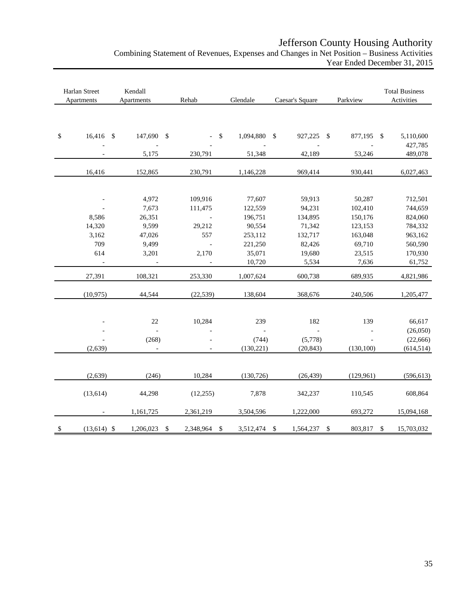# Jefferson County Housing Authority

Combining Statement of Revenues, Expenses and Changes in Net Position – Business Activities

Year Ended December 31, 2015

|                           | Harlan Street<br>Apartments | Kendall<br>Apartments |                | Rehab                    | Glendale   | Caesar's Square          |                          | Parkview   |              | <b>Total Business</b><br>Activities |
|---------------------------|-----------------------------|-----------------------|----------------|--------------------------|------------|--------------------------|--------------------------|------------|--------------|-------------------------------------|
|                           |                             |                       |                |                          |            |                          |                          |            |              |                                     |
|                           |                             |                       |                |                          |            |                          |                          |            |              |                                     |
|                           | $16,416$ \$                 | 147,690               | $\mathcal{S}$  | \$                       | 1,094,880  | $\mathsf{\$}$<br>927,225 | $\sqrt{3}$               | 877,195    | $\mathbb{S}$ | 5,110,600                           |
| $\mathbb{S}$              |                             |                       |                |                          |            |                          |                          |            |              | 427,785                             |
|                           |                             | 5,175                 |                | 230,791                  | 51,348     | 42,189                   |                          | 53,246     |              | 489,078                             |
|                           |                             |                       |                |                          |            |                          |                          |            |              |                                     |
|                           | 16,416                      | 152,865               |                | 230,791                  | 1,146,228  | 969,414                  |                          | 930,441    |              | 6,027,463                           |
|                           |                             |                       |                |                          |            |                          |                          |            |              |                                     |
|                           |                             | 4,972                 |                | 109,916                  | 77,607     | 59,913                   |                          | 50,287     |              | 712,501                             |
|                           |                             | 7,673                 |                | 111,475                  | 122,559    | 94,231                   |                          | 102,410    |              | 744,659                             |
|                           | 8,586                       | 26,351                |                | $\blacksquare$           | 196,751    | 134,895                  |                          | 150,176    |              | 824,060                             |
|                           | 14,320                      | 9,599                 |                | 29,212                   | 90,554     | 71,342                   |                          | 123,153    |              | 784,332                             |
|                           | 3,162                       | 47,026                |                | 557                      | 253,112    | 132,717                  |                          | 163,048    |              | 963,162                             |
|                           | 709                         | 9,499                 |                | $\overline{\phantom{a}}$ | 221,250    | 82,426                   |                          | 69,710     |              | 560,590                             |
|                           | 614                         | 3,201                 |                | 2,170                    | 35,071     | 19,680                   |                          | 23,515     |              | 170,930                             |
|                           | $\overline{\phantom{a}}$    |                       | $\blacksquare$ | $\overline{\phantom{a}}$ | 10,720     | 5,534                    |                          | 7,636      |              | 61,752                              |
|                           | 27,391                      | 108,321               |                | 253,330                  | 1,007,624  | 600,738                  |                          | 689,935    |              | 4,821,986                           |
|                           | (10, 975)                   | 44,544                |                | (22, 539)                | 138,604    | 368,676                  |                          | 240,506    |              | 1,205,477                           |
|                           |                             |                       |                |                          |            |                          |                          |            |              |                                     |
|                           |                             |                       | 22             | 10,284                   | 239        | 182                      |                          | 139        |              | 66,617                              |
|                           |                             |                       | $\overline{a}$ |                          |            |                          | $\overline{\phantom{a}}$ |            |              | (26,050)                            |
|                           |                             | (268)                 |                |                          | (744)      | (5,778)                  |                          |            |              | (22, 666)                           |
|                           | (2,639)                     |                       |                |                          | (130, 221) | (20, 843)                |                          | (130, 100) |              | (614, 514)                          |
|                           |                             |                       |                |                          |            |                          |                          |            |              |                                     |
|                           | (2,639)                     | (246)                 |                | 10,284                   | (130, 726) | (26, 439)                |                          | (129, 961) |              | (596, 613)                          |
|                           |                             |                       |                |                          |            |                          |                          |            |              |                                     |
|                           | (13,614)                    | 44,298                |                | (12,255)                 | 7,878      | 342,237                  |                          | 110,545    |              | 608,864                             |
|                           |                             | 1,161,725             |                | 2,361,219                | 3,504,596  | 1,222,000                |                          | 693,272    |              | 15,094,168                          |
|                           |                             |                       |                |                          |            |                          |                          |            |              |                                     |
| $\boldsymbol{\mathsf{S}}$ | $(13,614)$ \$               | 1,206,023             | \$             | 2,348,964<br>$\$\,$      | 3,512,474  | \$<br>1,564,237          | \$                       | 803,817    | \$           | 15,703,032                          |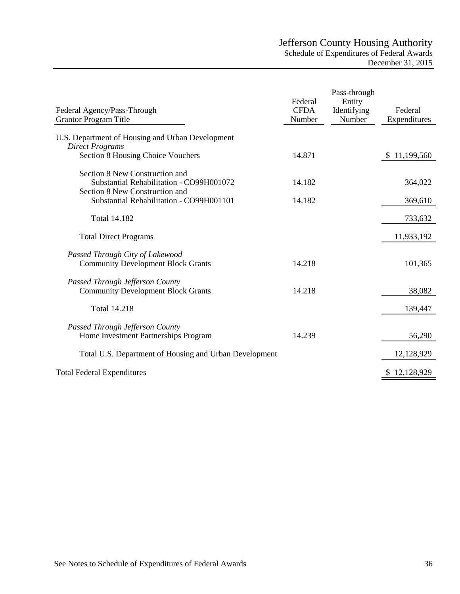# Jefferson County Housing Authority Schedule of Expenditures of Federal Awards December 31, 2015

| Federal Agency/Pass-Through<br><b>Grantor Program Title</b>                  | Federal<br><b>CFDA</b><br>Number | Pass-through<br>Entity<br>Identifying<br>Number | Federal<br>Expenditures |
|------------------------------------------------------------------------------|----------------------------------|-------------------------------------------------|-------------------------|
| U.S. Department of Housing and Urban Development<br><b>Direct Programs</b>   |                                  |                                                 |                         |
| Section 8 Housing Choice Vouchers                                            | 14.871                           |                                                 | \$11,199,560            |
| Section 8 New Construction and<br>Substantial Rehabilitation - CO99H001072   | 14.182                           |                                                 | 364,022                 |
| Section 8 New Construction and<br>Substantial Rehabilitation - CO99H001101   | 14.182                           |                                                 | 369,610                 |
| <b>Total 14.182</b>                                                          |                                  |                                                 | 733,632                 |
| <b>Total Direct Programs</b>                                                 |                                  |                                                 | 11,933,192              |
| Passed Through City of Lakewood<br><b>Community Development Block Grants</b> | 14.218                           |                                                 | 101,365                 |
| Passed Through Jefferson County<br><b>Community Development Block Grants</b> | 14.218                           |                                                 | 38,082                  |
| <b>Total 14.218</b>                                                          |                                  |                                                 | 139,447                 |
| Passed Through Jefferson County<br>Home Investment Partnerships Program      | 14.239                           |                                                 | 56,290                  |
| Total U.S. Department of Housing and Urban Development                       |                                  |                                                 | 12,128,929              |
| <b>Total Federal Expenditures</b>                                            |                                  |                                                 | \$12,128,929            |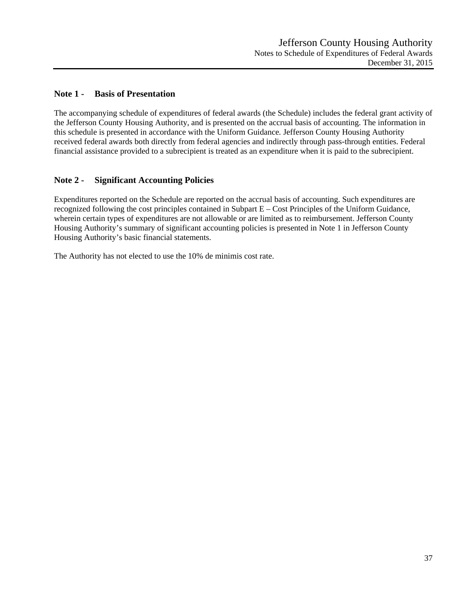## **Note 1 - Basis of Presentation**

The accompanying schedule of expenditures of federal awards (the Schedule) includes the federal grant activity of the Jefferson County Housing Authority, and is presented on the accrual basis of accounting. The information in this schedule is presented in accordance with the Uniform Guidance*.* Jefferson County Housing Authority received federal awards both directly from federal agencies and indirectly through pass-through entities. Federal financial assistance provided to a subrecipient is treated as an expenditure when it is paid to the subrecipient.

# **Note 2 - Significant Accounting Policies**

Expenditures reported on the Schedule are reported on the accrual basis of accounting. Such expenditures are recognized following the cost principles contained in Subpart E – Cost Principles of the Uniform Guidance, wherein certain types of expenditures are not allowable or are limited as to reimbursement. Jefferson County Housing Authority's summary of significant accounting policies is presented in Note 1 in Jefferson County Housing Authority's basic financial statements.

The Authority has not elected to use the 10% de minimis cost rate.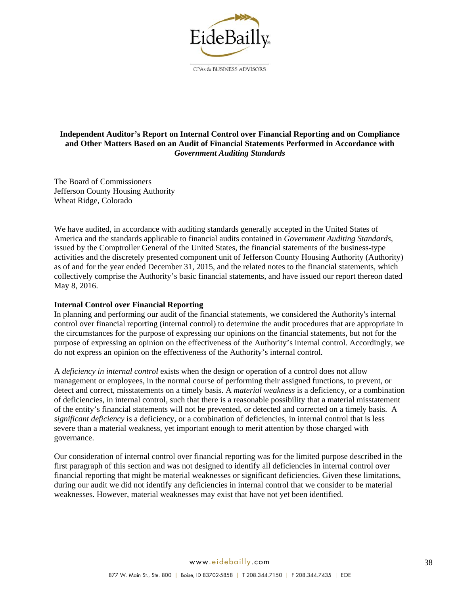

## **Independent Auditor's Report on Internal Control over Financial Reporting and on Compliance and Other Matters Based on an Audit of Financial Statements Performed in Accordance with**  *Government Auditing Standards*

The Board of Commissioners Jefferson County Housing Authority Wheat Ridge, Colorado

We have audited, in accordance with auditing standards generally accepted in the United States of America and the standards applicable to financial audits contained in *Government Auditing Standards*, issued by the Comptroller General of the United States, the financial statements of the business-type activities and the discretely presented component unit of Jefferson County Housing Authority (Authority) as of and for the year ended December 31, 2015, and the related notes to the financial statements, which collectively comprise the Authority's basic financial statements, and have issued our report thereon dated May 8, 2016.

# **Internal Control over Financial Reporting**

In planning and performing our audit of the financial statements, we considered the Authority's internal control over financial reporting (internal control) to determine the audit procedures that are appropriate in the circumstances for the purpose of expressing our opinions on the financial statements, but not for the purpose of expressing an opinion on the effectiveness of the Authority's internal control. Accordingly, we do not express an opinion on the effectiveness of the Authority's internal control.

A *deficiency in internal control* exists when the design or operation of a control does not allow management or employees, in the normal course of performing their assigned functions, to prevent, or detect and correct, misstatements on a timely basis. A *material weakness* is a deficiency, or a combination of deficiencies, in internal control, such that there is a reasonable possibility that a material misstatement of the entity's financial statements will not be prevented, or detected and corrected on a timely basis. A *significant deficiency* is a deficiency, or a combination of deficiencies, in internal control that is less severe than a material weakness, yet important enough to merit attention by those charged with governance.

Our consideration of internal control over financial reporting was for the limited purpose described in the first paragraph of this section and was not designed to identify all deficiencies in internal control over financial reporting that might be material weaknesses or significant deficiencies. Given these limitations, during our audit we did not identify any deficiencies in internal control that we consider to be material weaknesses. However, material weaknesses may exist that have not yet been identified.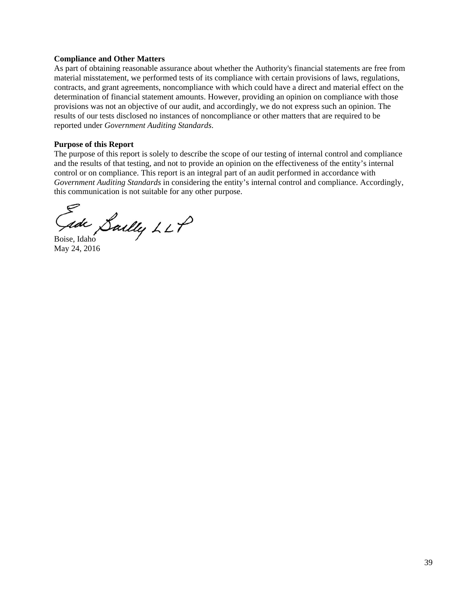#### **Compliance and Other Matters**

As part of obtaining reasonable assurance about whether the Authority's financial statements are free from material misstatement, we performed tests of its compliance with certain provisions of laws, regulations, contracts, and grant agreements, noncompliance with which could have a direct and material effect on the determination of financial statement amounts. However, providing an opinion on compliance with those provisions was not an objective of our audit, and accordingly, we do not express such an opinion. The results of our tests disclosed no instances of noncompliance or other matters that are required to be reported under *Government Auditing Standards*.

#### **Purpose of this Report**

The purpose of this report is solely to describe the scope of our testing of internal control and compliance and the results of that testing, and not to provide an opinion on the effectiveness of the entity's internal control or on compliance. This report is an integral part of an audit performed in accordance with *Government Auditing Standards* in considering the entity's internal control and compliance. Accordingly, this communication is not suitable for any other purpose.

Gade Sailly LLP

May 24, 2016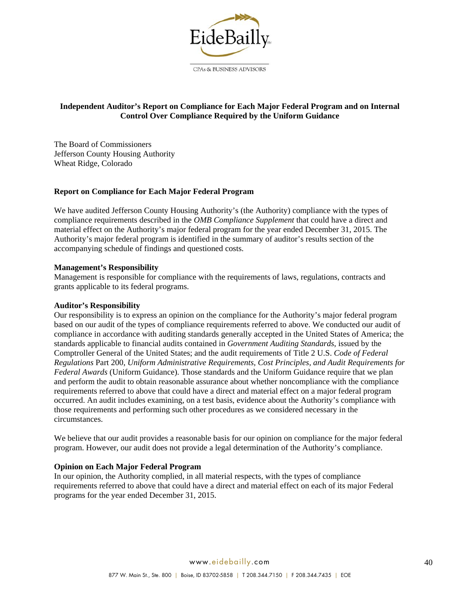

# **Independent Auditor's Report on Compliance for Each Major Federal Program and on Internal Control Over Compliance Required by the Uniform Guidance**

The Board of Commissioners Jefferson County Housing Authority Wheat Ridge, Colorado

#### **Report on Compliance for Each Major Federal Program**

We have audited Jefferson County Housing Authority's (the Authority) compliance with the types of compliance requirements described in the *OMB Compliance Supplement* that could have a direct and material effect on the Authority's major federal program for the year ended December 31, 2015. The Authority's major federal program is identified in the summary of auditor's results section of the accompanying schedule of findings and questioned costs.

#### **Management's Responsibility**

Management is responsible for compliance with the requirements of laws, regulations, contracts and grants applicable to its federal programs.

#### **Auditor's Responsibility**

Our responsibility is to express an opinion on the compliance for the Authority's major federal program based on our audit of the types of compliance requirements referred to above. We conducted our audit of compliance in accordance with auditing standards generally accepted in the United States of America; the standards applicable to financial audits contained in *Government Auditing Standards*, issued by the Comptroller General of the United States; and the audit requirements of Title 2 U.S. *Code of Federal Regulations* Part 200, *Uniform Administrative Requirements, Cost Principles, and Audit Requirements for Federal Awards* (Uniform Guidance). Those standards and the Uniform Guidance require that we plan and perform the audit to obtain reasonable assurance about whether noncompliance with the compliance requirements referred to above that could have a direct and material effect on a major federal program occurred. An audit includes examining, on a test basis, evidence about the Authority's compliance with those requirements and performing such other procedures as we considered necessary in the circumstances.

We believe that our audit provides a reasonable basis for our opinion on compliance for the major federal program. However, our audit does not provide a legal determination of the Authority's compliance.

#### **Opinion on Each Major Federal Program**

In our opinion, the Authority complied, in all material respects, with the types of compliance requirements referred to above that could have a direct and material effect on each of its major Federal programs for the year ended December 31, 2015.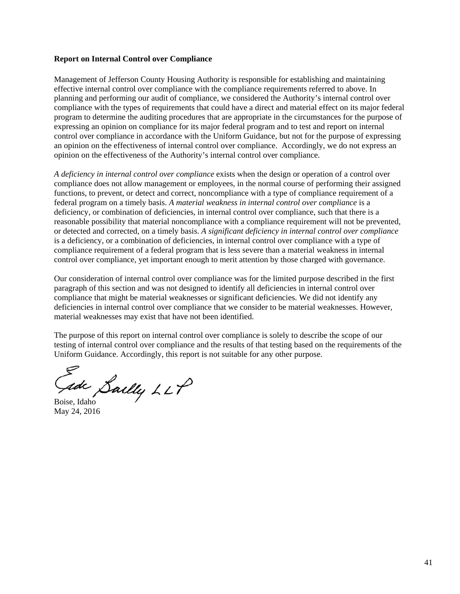#### **Report on Internal Control over Compliance**

Management of Jefferson County Housing Authority is responsible for establishing and maintaining effective internal control over compliance with the compliance requirements referred to above. In planning and performing our audit of compliance, we considered the Authority's internal control over compliance with the types of requirements that could have a direct and material effect on its major federal program to determine the auditing procedures that are appropriate in the circumstances for the purpose of expressing an opinion on compliance for its major federal program and to test and report on internal control over compliance in accordance with the Uniform Guidance, but not for the purpose of expressing an opinion on the effectiveness of internal control over compliance. Accordingly, we do not express an opinion on the effectiveness of the Authority's internal control over compliance.

*A deficiency in internal control over compliance* exists when the design or operation of a control over compliance does not allow management or employees, in the normal course of performing their assigned functions, to prevent, or detect and correct, noncompliance with a type of compliance requirement of a federal program on a timely basis. *A material weakness in internal control over compliance* is a deficiency, or combination of deficiencies, in internal control over compliance, such that there is a reasonable possibility that material noncompliance with a compliance requirement will not be prevented, or detected and corrected, on a timely basis. *A significant deficiency in internal control over compliance* is a deficiency, or a combination of deficiencies, in internal control over compliance with a type of compliance requirement of a federal program that is less severe than a material weakness in internal control over compliance, yet important enough to merit attention by those charged with governance.

Our consideration of internal control over compliance was for the limited purpose described in the first paragraph of this section and was not designed to identify all deficiencies in internal control over compliance that might be material weaknesses or significant deficiencies. We did not identify any deficiencies in internal control over compliance that we consider to be material weaknesses. However, material weaknesses may exist that have not been identified.

The purpose of this report on internal control over compliance is solely to describe the scope of our testing of internal control over compliance and the results of that testing based on the requirements of the Uniform Guidance. Accordingly, this report is not suitable for any other purpose.

Gade Saelly LLP

May 24, 2016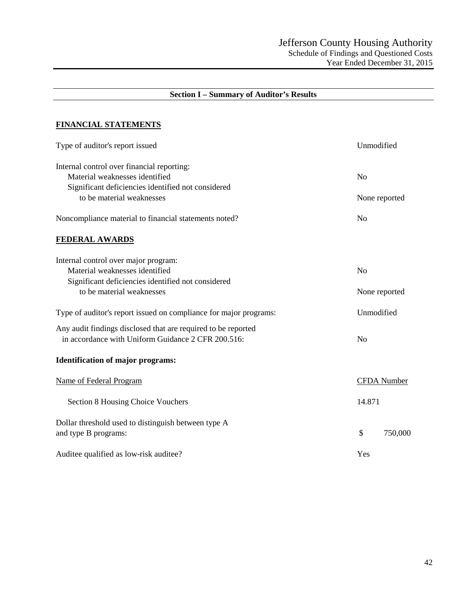# **Section I – Summary of Auditor's Results**

# **FINANCIAL STATEMENTS**

| Type of auditor's report issued                                                                                                                                 | Unmodified                      |
|-----------------------------------------------------------------------------------------------------------------------------------------------------------------|---------------------------------|
| Internal control over financial reporting:<br>Material weaknesses identified<br>Significant deficiencies identified not considered<br>to be material weaknesses | N <sub>o</sub><br>None reported |
| Noncompliance material to financial statements noted?                                                                                                           | N <sub>o</sub>                  |
| <b>FEDERAL AWARDS</b>                                                                                                                                           |                                 |
| Internal control over major program:<br>Material weaknesses identified<br>Significant deficiencies identified not considered<br>to be material weaknesses       | N <sub>o</sub><br>None reported |
| Type of auditor's report issued on compliance for major programs:                                                                                               | Unmodified                      |
| Any audit findings disclosed that are required to be reported<br>in accordance with Uniform Guidance 2 CFR 200.516:                                             | N <sub>o</sub>                  |
| <b>Identification of major programs:</b>                                                                                                                        |                                 |
| <b>Name of Federal Program</b>                                                                                                                                  | CFDA Number                     |
| Section 8 Housing Choice Vouchers                                                                                                                               | 14.871                          |
| Dollar threshold used to distinguish between type A<br>and type B programs:                                                                                     | \$<br>750,000                   |
| Auditee qualified as low-risk auditee?                                                                                                                          | Yes                             |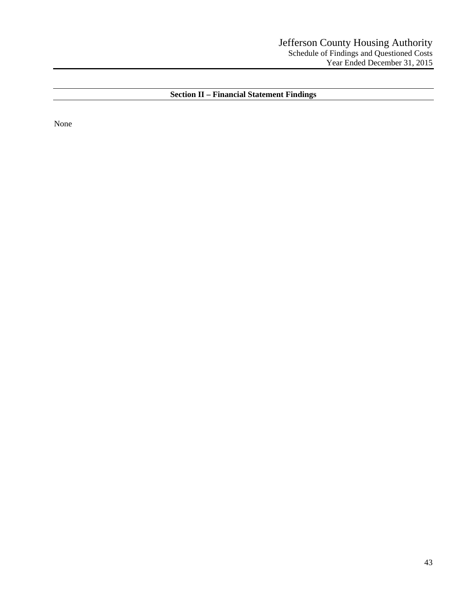**Section II – Financial Statement Findings** 

None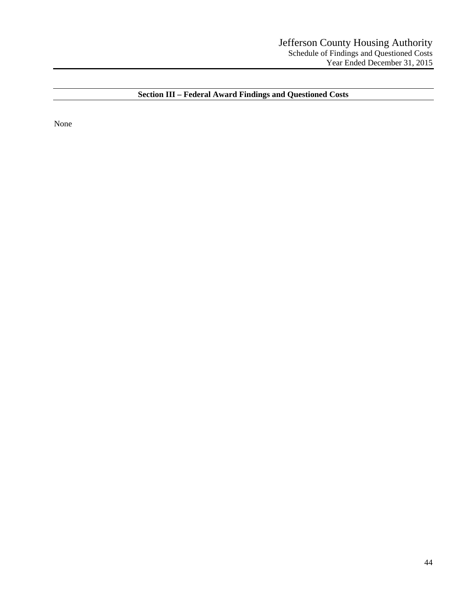**Section III – Federal Award Findings and Questioned Costs** 

None